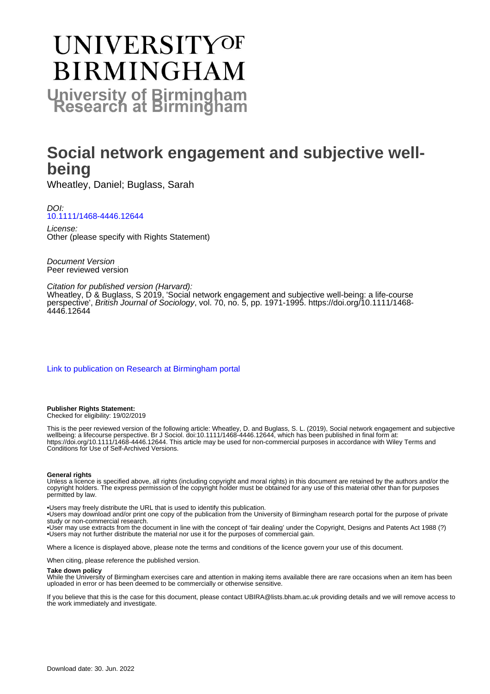# **UNIVERSITYOF BIRMINGHAM University of Birmingham**

# **Social network engagement and subjective wellbeing**

Wheatley, Daniel; Buglass, Sarah

#### DOI: [10.1111/1468-4446.12644](https://doi.org/10.1111/1468-4446.12644)

License: Other (please specify with Rights Statement)

Document Version Peer reviewed version

#### Citation for published version (Harvard):

Wheatley, D & Buglass, S 2019, 'Social network engagement and subjective well-being: a life-course perspective', British Journal of Sociology, vol. 70, no. 5, pp. 1971-1995. [https://doi.org/10.1111/1468-](https://doi.org/10.1111/1468-4446.12644) [4446.12644](https://doi.org/10.1111/1468-4446.12644)

#### [Link to publication on Research at Birmingham portal](https://birmingham.elsevierpure.com/en/publications/bcea33fd-5ade-4b4e-96e8-38547ec8e26f)

#### **Publisher Rights Statement:** Checked for eligibility: 19/02/2019

This is the peer reviewed version of the following article: Wheatley, D. and Buglass, S. L. (2019), Social network engagement and subjective wellbeing: a lifecourse perspective. Br J Sociol. doi:10.1111/1468-4446.12644, which has been published in final form at: https://doi.org/10.1111/1468-4446.12644. This article may be used for non-commercial purposes in accordance with Wiley Terms and Conditions for Use of Self-Archived Versions.

#### **General rights**

Unless a licence is specified above, all rights (including copyright and moral rights) in this document are retained by the authors and/or the copyright holders. The express permission of the copyright holder must be obtained for any use of this material other than for purposes permitted by law.

• Users may freely distribute the URL that is used to identify this publication.

• Users may download and/or print one copy of the publication from the University of Birmingham research portal for the purpose of private study or non-commercial research.

• User may use extracts from the document in line with the concept of 'fair dealing' under the Copyright, Designs and Patents Act 1988 (?) • Users may not further distribute the material nor use it for the purposes of commercial gain.

Where a licence is displayed above, please note the terms and conditions of the licence govern your use of this document.

When citing, please reference the published version.

#### **Take down policy**

While the University of Birmingham exercises care and attention in making items available there are rare occasions when an item has been uploaded in error or has been deemed to be commercially or otherwise sensitive.

If you believe that this is the case for this document, please contact UBIRA@lists.bham.ac.uk providing details and we will remove access to the work immediately and investigate.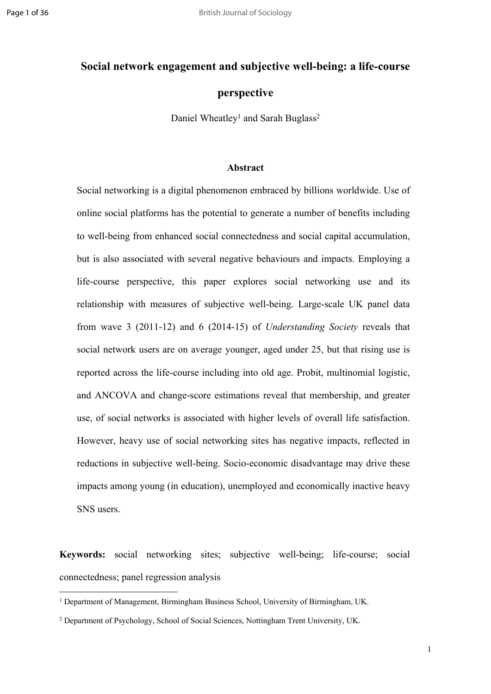# **Social network engagement and subjective well-being: a life-course**

## **perspective**

Daniel Wheatley<sup>1</sup> and Sarah Buglass<sup>2</sup>

#### **Abstract**

Social networking is a digital phenomenon embraced by billions worldwide. Use of online social platforms has the potential to generate a number of benefits including to well-being from enhanced social connectedness and social capital accumulation, but is also associated with several negative behaviours and impacts. Employing a life-course perspective, this paper explores social networking use and its relationship with measures of subjective well-being. Large-scale UK panel data from wave 3 (2011-12) and 6 (2014-15) of *Understanding Society* reveals that social network users are on average younger, aged under 25, but that rising use is reported across the life-course including into old age. Probit, multinomial logistic, and ANCOVA and change-score estimations reveal that membership, and greater use, of social networks is associated with higher levels of overall life satisfaction. However, heavy use of social networking sites has negative impacts, reflected in reductions in subjective well-being. Socio-economic disadvantage may drive these impacts among young (in education), unemployed and economically inactive heavy SNS users.

**Keywords:** social networking sites; subjective well-being; life-course; social connectedness; panel regression analysis

<sup>1</sup> Department of Management, Birmingham Business School, University of Birmingham, UK.

<sup>2</sup> Department of Psychology, School of Social Sciences, Nottingham Trent University, UK.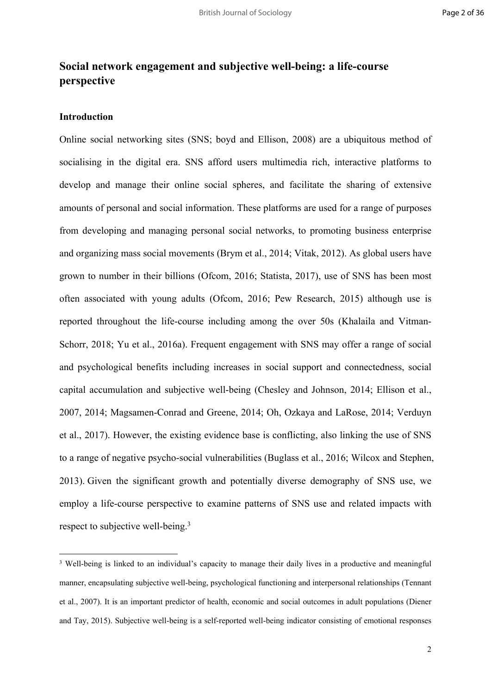# **Social network engagement and subjective well-being: a life-course perspective**

### **Introduction**

Online social networking sites (SNS; boyd and Ellison, 2008) are a ubiquitous method of socialising in the digital era. SNS afford users multimedia rich, interactive platforms to develop and manage their online social spheres, and facilitate the sharing of extensive amounts of personal and social information. These platforms are used for a range of purposes from developing and managing personal social networks, to promoting business enterprise and organizing mass social movements (Brym et al., 2014; Vitak, 2012). As global users have grown to number in their billions (Ofcom, 2016; Statista, 2017), use of SNS has been most often associated with young adults (Ofcom, 2016; Pew Research, 2015) although use is reported throughout the life-course including among the over 50s (Khalaila and Vitman-Schorr, 2018; Yu et al., 2016a). Frequent engagement with SNS may offer a range of social and psychological benefits including increases in social support and connectedness, social capital accumulation and subjective well-being (Chesley and Johnson, 2014; Ellison et al., 2007, 2014; Magsamen-Conrad and Greene, 2014; Oh, Ozkaya and LaRose, 2014; Verduyn et al., 2017). However, the existing evidence base is conflicting, also linking the use of SNS to a range of negative psycho-social vulnerabilities (Buglass et al., 2016; Wilcox and Stephen, 2013). Given the significant growth and potentially diverse demography of SNS use, we employ a life-course perspective to examine patterns of SNS use and related impacts with respect to subjective well-being.<sup>3</sup>

<sup>&</sup>lt;sup>3</sup> Well-being is linked to an individual's capacity to manage their daily lives in a productive and meaningful manner, encapsulating subjective well-being, psychological functioning and interpersonal relationships (Tennant et al., 2007). It is an important predictor of health, economic and social outcomes in adult populations (Diener and Tay, 2015). Subjective well-being is a self-reported well-being indicator consisting of emotional responses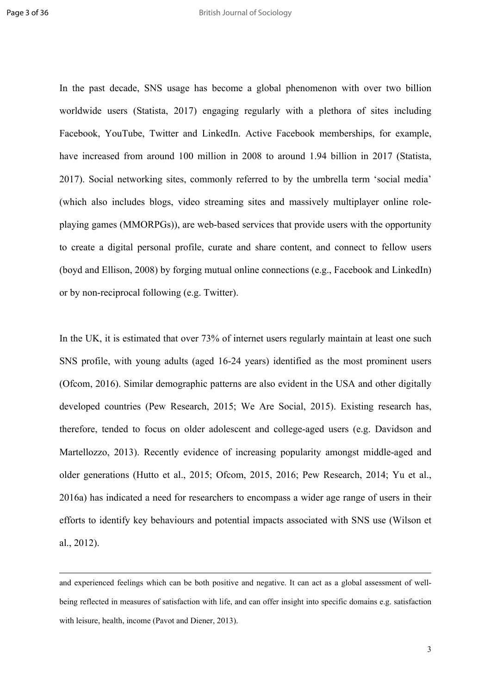In the past decade, SNS usage has become a global phenomenon with over two billion worldwide users (Statista, 2017) engaging regularly with a plethora of sites including Facebook, YouTube, Twitter and LinkedIn. Active Facebook memberships, for example, have increased from around 100 million in 2008 to around 1.94 billion in 2017 (Statista, 2017). Social networking sites, commonly referred to by the umbrella term 'social media' (which also includes blogs, video streaming sites and massively multiplayer online roleplaying games (MMORPGs)), are web-based services that provide users with the opportunity to create a digital personal profile, curate and share content, and connect to fellow users (boyd and Ellison, 2008) by forging mutual online connections (e.g., Facebook and LinkedIn) or by non-reciprocal following (e.g. Twitter).

In the UK, it is estimated that over 73% of internet users regularly maintain at least one such SNS profile, with young adults (aged 16-24 years) identified as the most prominent users (Ofcom, 2016). Similar demographic patterns are also evident in the USA and other digitally developed countries (Pew Research, 2015; We Are Social, 2015). Existing research has, therefore, tended to focus on older adolescent and college-aged users (e.g. Davidson and Martellozzo, 2013). Recently evidence of increasing popularity amongst middle-aged and older generations (Hutto et al., 2015; Ofcom, 2015, 2016; Pew Research, 2014; Yu et al., 2016a) has indicated a need for researchers to encompass a wider age range of users in their efforts to identify key behaviours and potential impacts associated with SNS use (Wilson et al., 2012).

and experienced feelings which can be both positive and negative. It can act as a global assessment of wellbeing reflected in measures of satisfaction with life, and can offer insight into specific domains e.g. satisfaction with leisure, health, income (Pavot and Diener, 2013).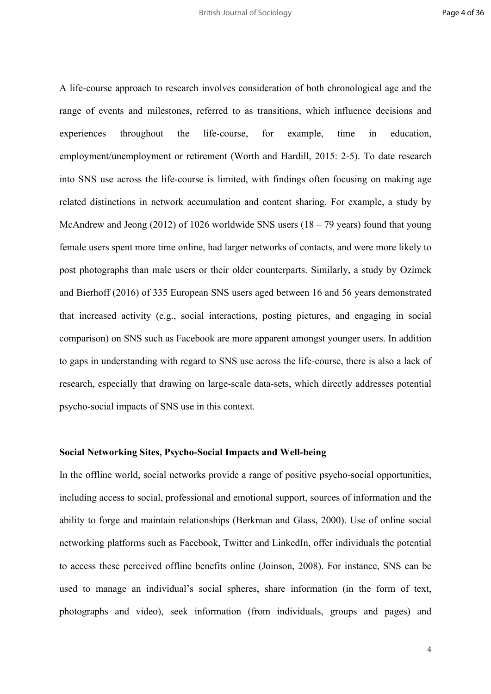A life-course approach to research involves consideration of both chronological age and the range of events and milestones, referred to as transitions, which influence decisions and experiences throughout the life-course, for example, time in education, employment/unemployment or retirement (Worth and Hardill, 2015: 2-5). To date research into SNS use across the life-course is limited, with findings often focusing on making age related distinctions in network accumulation and content sharing. For example, a study by McAndrew and Jeong (2012) of 1026 worldwide SNS users (18 – 79 years) found that young female users spent more time online, had larger networks of contacts, and were more likely to post photographs than male users or their older counterparts. Similarly, a study by Ozimek and Bierhoff (2016) of 335 European SNS users aged between 16 and 56 years demonstrated that increased activity (e.g., social interactions, posting pictures, and engaging in social comparison) on SNS such as Facebook are more apparent amongst younger users. In addition to gaps in understanding with regard to SNS use across the life-course, there is also a lack of research, especially that drawing on large-scale data-sets, which directly addresses potential psycho-social impacts of SNS use in this context.

#### **Social Networking Sites, Psycho-Social Impacts and Well-being**

In the offline world, social networks provide a range of positive psycho-social opportunities, including access to social, professional and emotional support, sources of information and the ability to forge and maintain relationships (Berkman and Glass, 2000). Use of online social networking platforms such as Facebook, Twitter and LinkedIn, offer individuals the potential to access these perceived offline benefits online (Joinson, 2008). For instance, SNS can be used to manage an individual's social spheres, share information (in the form of text, photographs and video), seek information (from individuals, groups and pages) and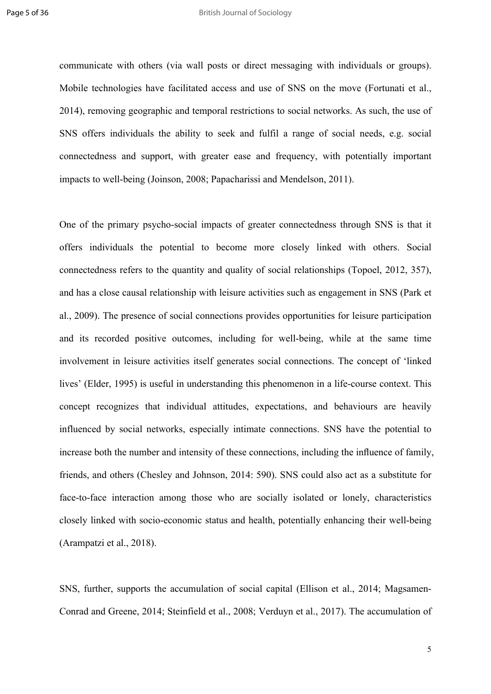communicate with others (via wall posts or direct messaging with individuals or groups). Mobile technologies have facilitated access and use of SNS on the move (Fortunati et al., 2014), removing geographic and temporal restrictions to social networks. As such, the use of SNS offers individuals the ability to seek and fulfil a range of social needs, e.g. social connectedness and support, with greater ease and frequency, with potentially important impacts to well-being (Joinson, 2008; Papacharissi and Mendelson, 2011).

One of the primary psycho-social impacts of greater connectedness through SNS is that it offers individuals the potential to become more closely linked with others. Social connectedness refers to the quantity and quality of social relationships (Topoel, 2012, 357), and has a close causal relationship with leisure activities such as engagement in SNS (Park et al., 2009). The presence of social connections provides opportunities for leisure participation and its recorded positive outcomes, including for well-being, while at the same time involvement in leisure activities itself generates social connections. The concept of 'linked lives' (Elder, 1995) is useful in understanding this phenomenon in a life-course context. This concept recognizes that individual attitudes, expectations, and behaviours are heavily influenced by social networks, especially intimate connections. SNS have the potential to increase both the number and intensity of these connections, including the influence of family, friends, and others (Chesley and Johnson, 2014: 590). SNS could also act as a substitute for face-to-face interaction among those who are socially isolated or lonely, characteristics closely linked with socio-economic status and health, potentially enhancing their well-being (Arampatzi et al., 2018).

SNS, further, supports the accumulation of social capital (Ellison et al., 2014; Magsamen-Conrad and Greene, 2014; Steinfield et al., 2008; Verduyn et al., 2017). The accumulation of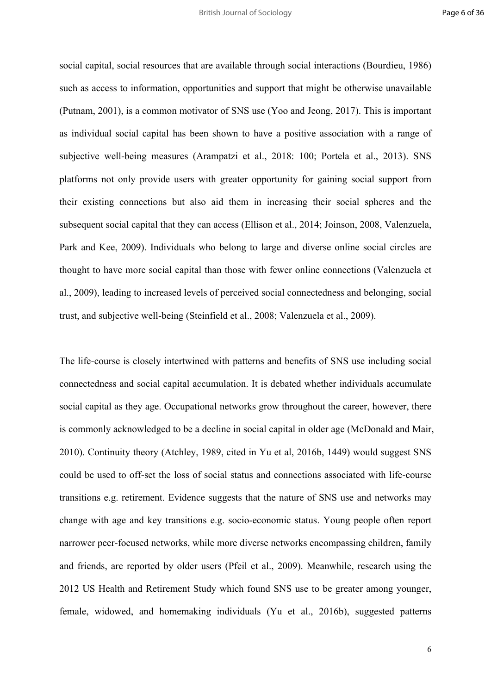social capital, social resources that are available through social interactions (Bourdieu, 1986) such as access to information, opportunities and support that might be otherwise unavailable (Putnam, 2001), is a common motivator of SNS use (Yoo and Jeong, 2017). This is important as individual social capital has been shown to have a positive association with a range of subjective well-being measures (Arampatzi et al., 2018: 100; Portela et al., 2013). SNS platforms not only provide users with greater opportunity for gaining social support from their existing connections but also aid them in increasing their social spheres and the subsequent social capital that they can access (Ellison et al., 2014; Joinson, 2008, Valenzuela, Park and Kee, 2009). Individuals who belong to large and diverse online social circles are thought to have more social capital than those with fewer online connections (Valenzuela et al., 2009), leading to increased levels of perceived social connectedness and belonging, social trust, and subjective well-being (Steinfield et al., 2008; Valenzuela et al., 2009).

The life-course is closely intertwined with patterns and benefits of SNS use including social connectedness and social capital accumulation. It is debated whether individuals accumulate social capital as they age. Occupational networks grow throughout the career, however, there is commonly acknowledged to be a decline in social capital in older age (McDonald and Mair, 2010). Continuity theory (Atchley, 1989, cited in Yu et al, 2016b, 1449) would suggest SNS could be used to off-set the loss of social status and connections associated with life-course transitions e.g. retirement. Evidence suggests that the nature of SNS use and networks may change with age and key transitions e.g. socio-economic status. Young people often report narrower peer-focused networks, while more diverse networks encompassing children, family and friends, are reported by older users (Pfeil et al., 2009). Meanwhile, research using the 2012 US Health and Retirement Study which found SNS use to be greater among younger, female, widowed, and homemaking individuals (Yu et al., 2016b), suggested patterns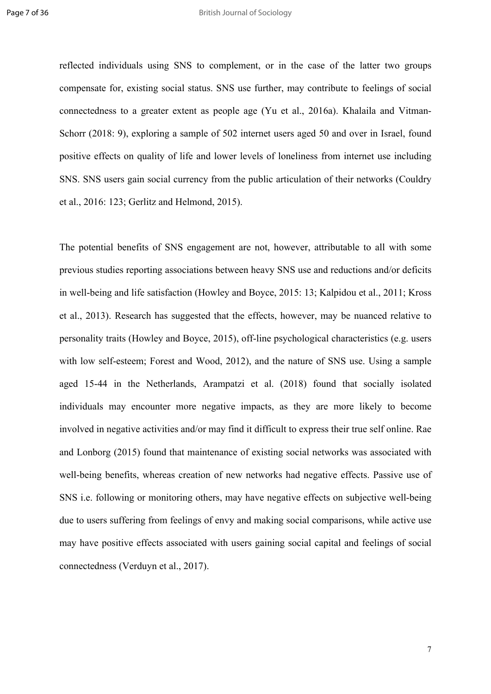reflected individuals using SNS to complement, or in the case of the latter two groups compensate for, existing social status. SNS use further, may contribute to feelings of social connectedness to a greater extent as people age (Yu et al., 2016a). Khalaila and Vitman-Schorr (2018: 9), exploring a sample of 502 internet users aged 50 and over in Israel, found positive effects on quality of life and lower levels of loneliness from internet use including SNS. SNS users gain social currency from the public articulation of their networks (Couldry et al., 2016: 123; Gerlitz and Helmond, 2015).

The potential benefits of SNS engagement are not, however, attributable to all with some previous studies reporting associations between heavy SNS use and reductions and/or deficits in well-being and life satisfaction (Howley and Boyce, 2015: 13; Kalpidou et al., 2011; Kross et al., 2013). Research has suggested that the effects, however, may be nuanced relative to personality traits (Howley and Boyce, 2015), off-line psychological characteristics (e.g. users with low self-esteem; Forest and Wood, 2012), and the nature of SNS use. Using a sample aged 15-44 in the Netherlands, Arampatzi et al. (2018) found that socially isolated individuals may encounter more negative impacts, as they are more likely to become involved in negative activities and/or may find it difficult to express their true self online. Rae and Lonborg (2015) found that maintenance of existing social networks was associated with well-being benefits, whereas creation of new networks had negative effects. Passive use of SNS i.e. following or monitoring others, may have negative effects on subjective well-being due to users suffering from feelings of envy and making social comparisons, while active use may have positive effects associated with users gaining social capital and feelings of social connectedness (Verduyn et al., 2017).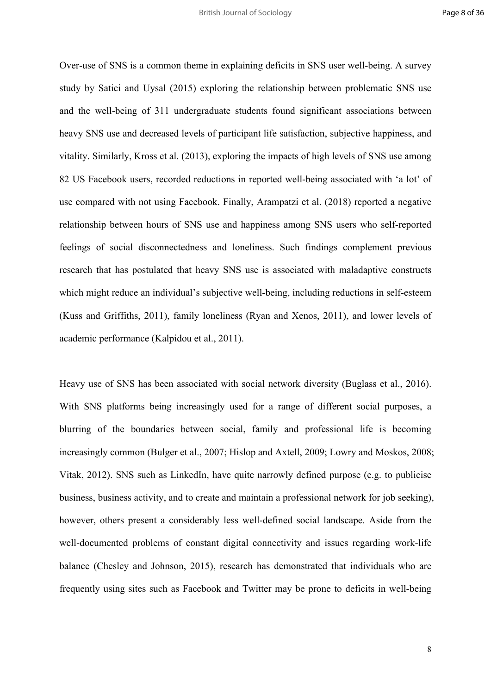Over-use of SNS is a common theme in explaining deficits in SNS user well-being. A survey study by Satici and Uysal (2015) exploring the relationship between problematic SNS use and the well-being of 311 undergraduate students found significant associations between heavy SNS use and decreased levels of participant life satisfaction, subjective happiness, and vitality. Similarly, Kross et al. (2013), exploring the impacts of high levels of SNS use among 82 US Facebook users, recorded reductions in reported well-being associated with 'a lot' of use compared with not using Facebook. Finally, Arampatzi et al. (2018) reported a negative relationship between hours of SNS use and happiness among SNS users who self-reported feelings of social disconnectedness and loneliness. Such findings complement previous research that has postulated that heavy SNS use is associated with maladaptive constructs which might reduce an individual's subjective well-being, including reductions in self-esteem (Kuss and Griffiths, 2011), family loneliness (Ryan and Xenos, 2011), and lower levels of academic performance (Kalpidou et al., 2011).

Heavy use of SNS has been associated with social network diversity (Buglass et al., 2016). With SNS platforms being increasingly used for a range of different social purposes, a blurring of the boundaries between social, family and professional life is becoming increasingly common (Bulger et al., 2007; Hislop and Axtell, 2009; Lowry and Moskos, 2008; Vitak, 2012). SNS such as LinkedIn, have quite narrowly defined purpose (e.g. to publicise business, business activity, and to create and maintain a professional network for job seeking), however, others present a considerably less well-defined social landscape. Aside from the well-documented problems of constant digital connectivity and issues regarding work-life balance (Chesley and Johnson, 2015), research has demonstrated that individuals who are frequently using sites such as Facebook and Twitter may be prone to deficits in well-being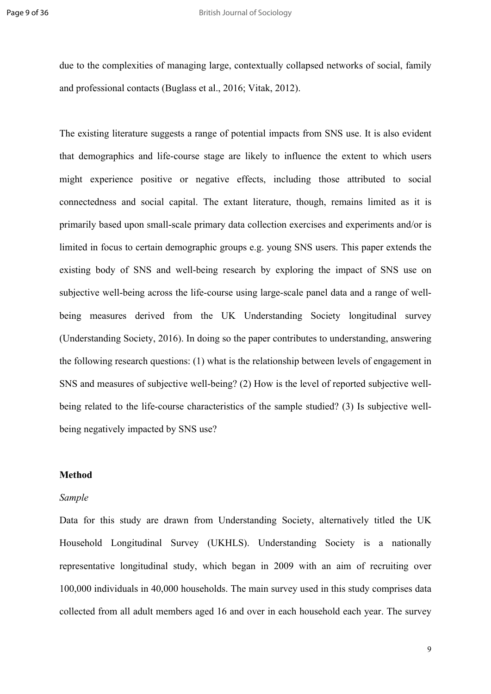due to the complexities of managing large, contextually collapsed networks of social, family and professional contacts (Buglass et al., 2016; Vitak, 2012).

The existing literature suggests a range of potential impacts from SNS use. It is also evident that demographics and life-course stage are likely to influence the extent to which users might experience positive or negative effects, including those attributed to social connectedness and social capital. The extant literature, though, remains limited as it is primarily based upon small-scale primary data collection exercises and experiments and/or is limited in focus to certain demographic groups e.g. young SNS users. This paper extends the existing body of SNS and well-being research by exploring the impact of SNS use on subjective well-being across the life-course using large-scale panel data and a range of wellbeing measures derived from the UK Understanding Society longitudinal survey (Understanding Society, 2016). In doing so the paper contributes to understanding, answering the following research questions: (1) what is the relationship between levels of engagement in SNS and measures of subjective well-being? (2) How is the level of reported subjective wellbeing related to the life-course characteristics of the sample studied? (3) Is subjective wellbeing negatively impacted by SNS use?

#### **Method**

#### *Sample*

Data for this study are drawn from Understanding Society, alternatively titled the UK Household Longitudinal Survey (UKHLS). Understanding Society is a nationally representative longitudinal study, which began in 2009 with an aim of recruiting over 100,000 individuals in 40,000 households. The main survey used in this study comprises data collected from all adult members aged 16 and over in each household each year. The survey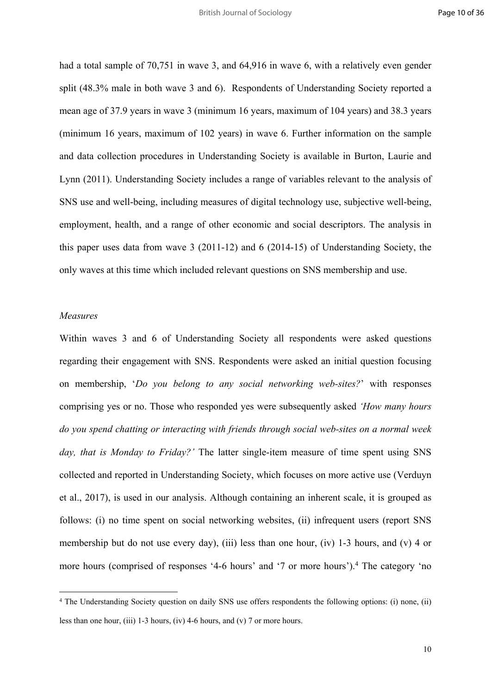had a total sample of 70,751 in wave 3, and 64,916 in wave 6, with a relatively even gender split (48.3% male in both wave 3 and 6). Respondents of Understanding Society reported a mean age of 37.9 years in wave 3 (minimum 16 years, maximum of 104 years) and 38.3 years (minimum 16 years, maximum of 102 years) in wave 6. Further information on the sample and data collection procedures in Understanding Society is available in Burton, Laurie and Lynn (2011). Understanding Society includes a range of variables relevant to the analysis of SNS use and well-being, including measures of digital technology use, subjective well-being, employment, health, and a range of other economic and social descriptors. The analysis in this paper uses data from wave 3 (2011-12) and 6 (2014-15) of Understanding Society, the only waves at this time which included relevant questions on SNS membership and use.

#### *Measures*

Within waves 3 and 6 of Understanding Society all respondents were asked questions regarding their engagement with SNS. Respondents were asked an initial question focusing on membership, '*Do you belong to any social networking web-sites?*' with responses comprising yes or no. Those who responded yes were subsequently asked *'How many hours do you spend chatting or interacting with friends through social web-sites on a normal week day, that is Monday to Friday?'* The latter single-item measure of time spent using SNS collected and reported in Understanding Society, which focuses on more active use (Verduyn et al., 2017), is used in our analysis. Although containing an inherent scale, it is grouped as follows: (i) no time spent on social networking websites, (ii) infrequent users (report SNS membership but do not use every day), (iii) less than one hour, (iv) 1-3 hours, and (v) 4 or more hours (comprised of responses '4-6 hours' and '7 or more hours').<sup>4</sup> The category 'no

<sup>4</sup> The Understanding Society question on daily SNS use offers respondents the following options: (i) none, (ii) less than one hour, (iii) 1-3 hours, (iv) 4-6 hours, and (v) 7 or more hours.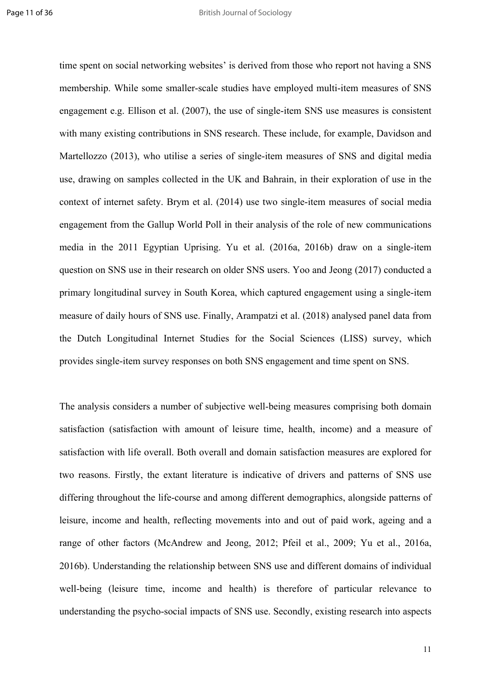time spent on social networking websites' is derived from those who report not having a SNS membership. While some smaller-scale studies have employed multi-item measures of SNS engagement e.g. Ellison et al. (2007), the use of single-item SNS use measures is consistent with many existing contributions in SNS research. These include, for example, Davidson and Martellozzo (2013), who utilise a series of single-item measures of SNS and digital media use, drawing on samples collected in the UK and Bahrain, in their exploration of use in the context of internet safety. Brym et al. (2014) use two single-item measures of social media engagement from the Gallup World Poll in their analysis of the role of new communications media in the 2011 Egyptian Uprising. Yu et al. (2016a, 2016b) draw on a single-item question on SNS use in their research on older SNS users. Yoo and Jeong (2017) conducted a primary longitudinal survey in South Korea, which captured engagement using a single-item measure of daily hours of SNS use. Finally, Arampatzi et al. (2018) analysed panel data from the Dutch Longitudinal Internet Studies for the Social Sciences (LISS) survey, which provides single-item survey responses on both SNS engagement and time spent on SNS.

The analysis considers a number of subjective well-being measures comprising both domain satisfaction (satisfaction with amount of leisure time, health, income) and a measure of satisfaction with life overall. Both overall and domain satisfaction measures are explored for two reasons. Firstly, the extant literature is indicative of drivers and patterns of SNS use differing throughout the life-course and among different demographics, alongside patterns of leisure, income and health, reflecting movements into and out of paid work, ageing and a range of other factors (McAndrew and Jeong, 2012; Pfeil et al., 2009; Yu et al., 2016a, 2016b). Understanding the relationship between SNS use and different domains of individual well-being (leisure time, income and health) is therefore of particular relevance to understanding the psycho-social impacts of SNS use. Secondly, existing research into aspects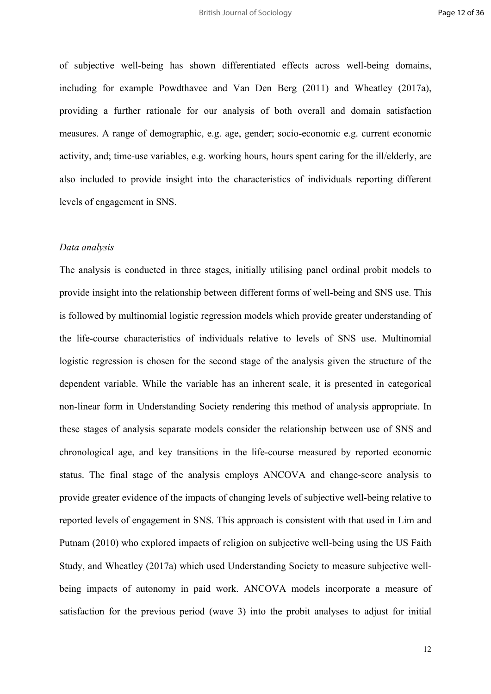of subjective well-being has shown differentiated effects across well-being domains, including for example Powdthavee and Van Den Berg (2011) and Wheatley (2017a), providing a further rationale for our analysis of both overall and domain satisfaction measures. A range of demographic, e.g. age, gender; socio-economic e.g. current economic activity, and; time-use variables, e.g. working hours, hours spent caring for the ill/elderly, are also included to provide insight into the characteristics of individuals reporting different levels of engagement in SNS.

#### *Data analysis*

The analysis is conducted in three stages, initially utilising panel ordinal probit models to provide insight into the relationship between different forms of well-being and SNS use. This is followed by multinomial logistic regression models which provide greater understanding of the life-course characteristics of individuals relative to levels of SNS use. Multinomial logistic regression is chosen for the second stage of the analysis given the structure of the dependent variable. While the variable has an inherent scale, it is presented in categorical non-linear form in Understanding Society rendering this method of analysis appropriate. In these stages of analysis separate models consider the relationship between use of SNS and chronological age, and key transitions in the life-course measured by reported economic status. The final stage of the analysis employs ANCOVA and change-score analysis to provide greater evidence of the impacts of changing levels of subjective well-being relative to reported levels of engagement in SNS. This approach is consistent with that used in Lim and Putnam (2010) who explored impacts of religion on subjective well-being using the US Faith Study, and Wheatley (2017a) which used Understanding Society to measure subjective wellbeing impacts of autonomy in paid work. ANCOVA models incorporate a measure of satisfaction for the previous period (wave 3) into the probit analyses to adjust for initial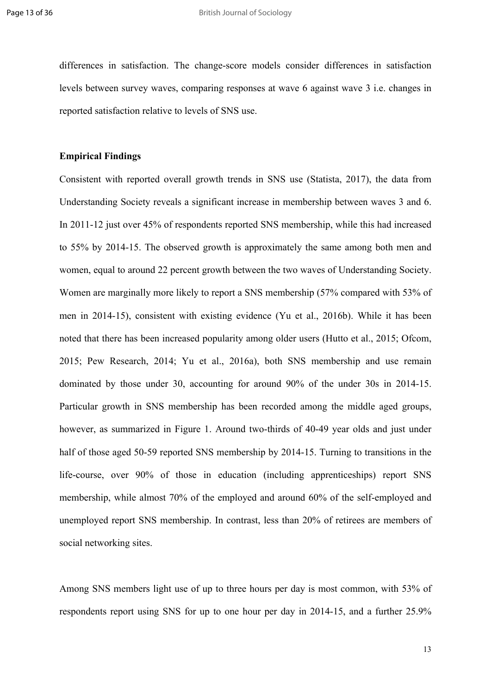differences in satisfaction. The change-score models consider differences in satisfaction levels between survey waves, comparing responses at wave 6 against wave 3 i.e. changes in reported satisfaction relative to levels of SNS use.

#### **Empirical Findings**

Consistent with reported overall growth trends in SNS use (Statista, 2017), the data from Understanding Society reveals a significant increase in membership between waves 3 and 6. In 2011-12 just over 45% of respondents reported SNS membership, while this had increased to 55% by 2014-15. The observed growth is approximately the same among both men and women, equal to around 22 percent growth between the two waves of Understanding Society. Women are marginally more likely to report a SNS membership (57% compared with 53% of men in 2014-15), consistent with existing evidence (Yu et al., 2016b). While it has been noted that there has been increased popularity among older users (Hutto et al., 2015; Ofcom, 2015; Pew Research, 2014; Yu et al., 2016a), both SNS membership and use remain dominated by those under 30, accounting for around 90% of the under 30s in 2014-15. Particular growth in SNS membership has been recorded among the middle aged groups, however, as summarized in Figure 1. Around two-thirds of 40-49 year olds and just under half of those aged 50-59 reported SNS membership by 2014-15. Turning to transitions in the life-course, over 90% of those in education (including apprenticeships) report SNS membership, while almost 70% of the employed and around 60% of the self-employed and unemployed report SNS membership. In contrast, less than 20% of retirees are members of social networking sites.

Among SNS members light use of up to three hours per day is most common, with 53% of respondents report using SNS for up to one hour per day in 2014-15, and a further 25.9%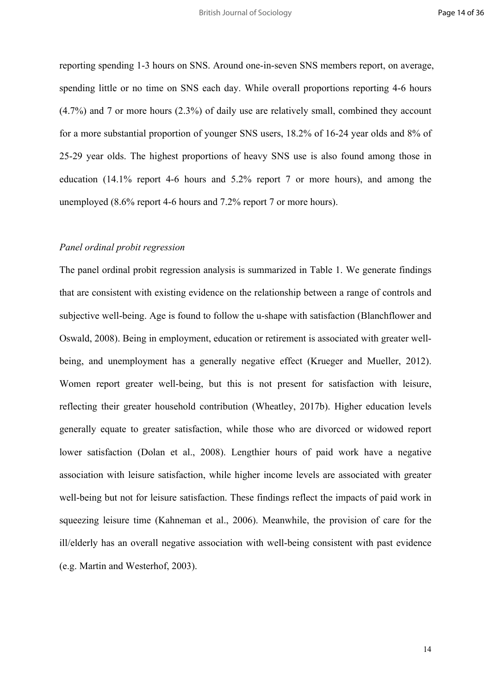reporting spending 1-3 hours on SNS. Around one-in-seven SNS members report, on average, spending little or no time on SNS each day. While overall proportions reporting 4-6 hours (4.7%) and 7 or more hours (2.3%) of daily use are relatively small, combined they account for a more substantial proportion of younger SNS users, 18.2% of 16-24 year olds and 8% of 25-29 year olds. The highest proportions of heavy SNS use is also found among those in education (14.1% report 4-6 hours and 5.2% report 7 or more hours), and among the unemployed (8.6% report 4-6 hours and 7.2% report 7 or more hours).

#### *Panel ordinal probit regression*

The panel ordinal probit regression analysis is summarized in Table 1. We generate findings that are consistent with existing evidence on the relationship between a range of controls and subjective well-being. Age is found to follow the u-shape with satisfaction (Blanchflower and Oswald, 2008). Being in employment, education or retirement is associated with greater wellbeing, and unemployment has a generally negative effect (Krueger and Mueller, 2012). Women report greater well-being, but this is not present for satisfaction with leisure, reflecting their greater household contribution (Wheatley, 2017b). Higher education levels generally equate to greater satisfaction, while those who are divorced or widowed report lower satisfaction (Dolan et al., 2008). Lengthier hours of paid work have a negative association with leisure satisfaction, while higher income levels are associated with greater well-being but not for leisure satisfaction. These findings reflect the impacts of paid work in squeezing leisure time (Kahneman et al., 2006). Meanwhile, the provision of care for the ill/elderly has an overall negative association with well-being consistent with past evidence (e.g. Martin and Westerhof, 2003).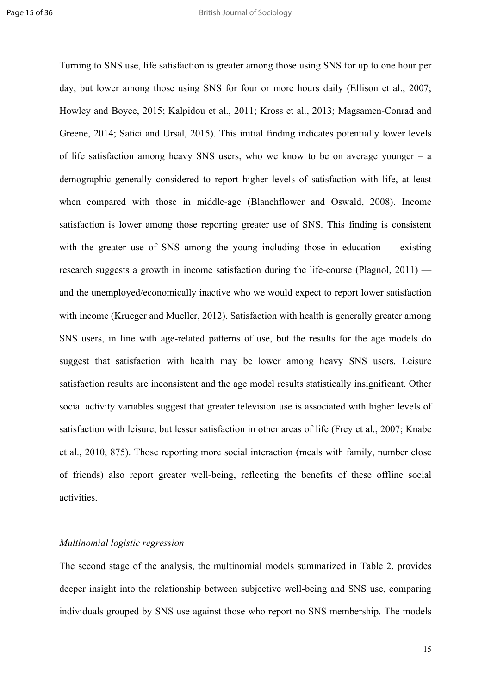Turning to SNS use, life satisfaction is greater among those using SNS for up to one hour per day, but lower among those using SNS for four or more hours daily (Ellison et al., 2007; Howley and Boyce, 2015; Kalpidou et al., 2011; Kross et al., 2013; Magsamen-Conrad and Greene, 2014; Satici and Ursal, 2015). This initial finding indicates potentially lower levels of life satisfaction among heavy SNS users, who we know to be on average younger – a demographic generally considered to report higher levels of satisfaction with life, at least when compared with those in middle-age (Blanchflower and Oswald, 2008). Income satisfaction is lower among those reporting greater use of SNS. This finding is consistent with the greater use of SNS among the young including those in education — existing research suggests a growth in income satisfaction during the life-course (Plagnol, 2011) and the unemployed/economically inactive who we would expect to report lower satisfaction with income (Krueger and Mueller, 2012). Satisfaction with health is generally greater among SNS users, in line with age-related patterns of use, but the results for the age models do suggest that satisfaction with health may be lower among heavy SNS users. Leisure satisfaction results are inconsistent and the age model results statistically insignificant. Other social activity variables suggest that greater television use is associated with higher levels of satisfaction with leisure, but lesser satisfaction in other areas of life (Frey et al., 2007; Knabe et al., 2010, 875). Those reporting more social interaction (meals with family, number close of friends) also report greater well-being, reflecting the benefits of these offline social activities.

#### *Multinomial logistic regression*

The second stage of the analysis, the multinomial models summarized in Table 2, provides deeper insight into the relationship between subjective well-being and SNS use, comparing individuals grouped by SNS use against those who report no SNS membership. The models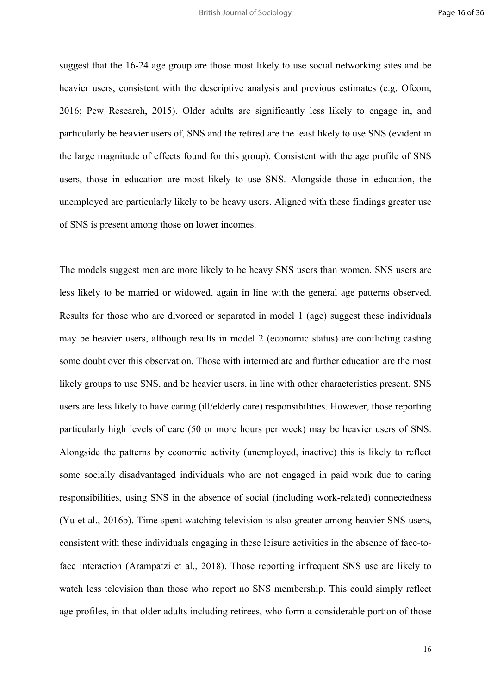suggest that the 16-24 age group are those most likely to use social networking sites and be heavier users, consistent with the descriptive analysis and previous estimates (e.g. Ofcom, 2016; Pew Research, 2015). Older adults are significantly less likely to engage in, and particularly be heavier users of, SNS and the retired are the least likely to use SNS (evident in the large magnitude of effects found for this group). Consistent with the age profile of SNS users, those in education are most likely to use SNS. Alongside those in education, the unemployed are particularly likely to be heavy users. Aligned with these findings greater use of SNS is present among those on lower incomes.

The models suggest men are more likely to be heavy SNS users than women. SNS users are less likely to be married or widowed, again in line with the general age patterns observed. Results for those who are divorced or separated in model 1 (age) suggest these individuals may be heavier users, although results in model 2 (economic status) are conflicting casting some doubt over this observation. Those with intermediate and further education are the most likely groups to use SNS, and be heavier users, in line with other characteristics present. SNS users are less likely to have caring (ill/elderly care) responsibilities. However, those reporting particularly high levels of care (50 or more hours per week) may be heavier users of SNS. Alongside the patterns by economic activity (unemployed, inactive) this is likely to reflect some socially disadvantaged individuals who are not engaged in paid work due to caring responsibilities, using SNS in the absence of social (including work-related) connectedness (Yu et al., 2016b). Time spent watching television is also greater among heavier SNS users, consistent with these individuals engaging in these leisure activities in the absence of face-toface interaction (Arampatzi et al., 2018). Those reporting infrequent SNS use are likely to watch less television than those who report no SNS membership. This could simply reflect age profiles, in that older adults including retirees, who form a considerable portion of those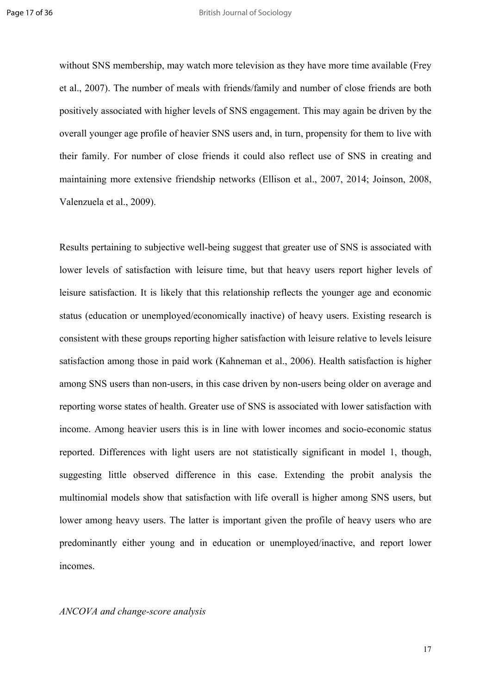without SNS membership, may watch more television as they have more time available (Frey et al., 2007). The number of meals with friends/family and number of close friends are both positively associated with higher levels of SNS engagement. This may again be driven by the overall younger age profile of heavier SNS users and, in turn, propensity for them to live with their family. For number of close friends it could also reflect use of SNS in creating and maintaining more extensive friendship networks (Ellison et al., 2007, 2014; Joinson, 2008, Valenzuela et al., 2009).

Results pertaining to subjective well-being suggest that greater use of SNS is associated with lower levels of satisfaction with leisure time, but that heavy users report higher levels of leisure satisfaction. It is likely that this relationship reflects the younger age and economic status (education or unemployed/economically inactive) of heavy users. Existing research is consistent with these groups reporting higher satisfaction with leisure relative to levels leisure satisfaction among those in paid work (Kahneman et al., 2006). Health satisfaction is higher among SNS users than non-users, in this case driven by non-users being older on average and reporting worse states of health. Greater use of SNS is associated with lower satisfaction with income. Among heavier users this is in line with lower incomes and socio-economic status reported. Differences with light users are not statistically significant in model 1, though, suggesting little observed difference in this case. Extending the probit analysis the multinomial models show that satisfaction with life overall is higher among SNS users, but lower among heavy users. The latter is important given the profile of heavy users who are predominantly either young and in education or unemployed/inactive, and report lower incomes.

#### *ANCOVA and change-score analysis*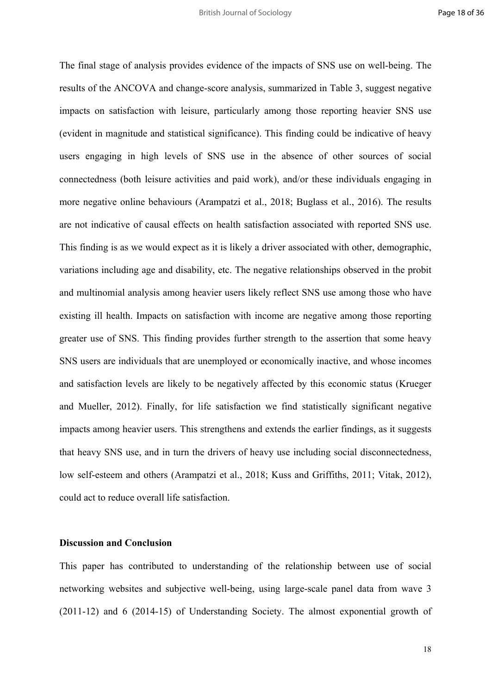The final stage of analysis provides evidence of the impacts of SNS use on well-being. The results of the ANCOVA and change-score analysis, summarized in Table 3, suggest negative impacts on satisfaction with leisure, particularly among those reporting heavier SNS use (evident in magnitude and statistical significance). This finding could be indicative of heavy users engaging in high levels of SNS use in the absence of other sources of social connectedness (both leisure activities and paid work), and/or these individuals engaging in more negative online behaviours (Arampatzi et al., 2018; Buglass et al., 2016). The results are not indicative of causal effects on health satisfaction associated with reported SNS use. This finding is as we would expect as it is likely a driver associated with other, demographic, variations including age and disability, etc. The negative relationships observed in the probit and multinomial analysis among heavier users likely reflect SNS use among those who have existing ill health. Impacts on satisfaction with income are negative among those reporting greater use of SNS. This finding provides further strength to the assertion that some heavy SNS users are individuals that are unemployed or economically inactive, and whose incomes and satisfaction levels are likely to be negatively affected by this economic status (Krueger and Mueller, 2012). Finally, for life satisfaction we find statistically significant negative impacts among heavier users. This strengthens and extends the earlier findings, as it suggests that heavy SNS use, and in turn the drivers of heavy use including social disconnectedness, low self-esteem and others (Arampatzi et al., 2018; Kuss and Griffiths, 2011; Vitak, 2012), could act to reduce overall life satisfaction.

#### **Discussion and Conclusion**

This paper has contributed to understanding of the relationship between use of social networking websites and subjective well-being, using large-scale panel data from wave 3 (2011-12) and 6 (2014-15) of Understanding Society. The almost exponential growth of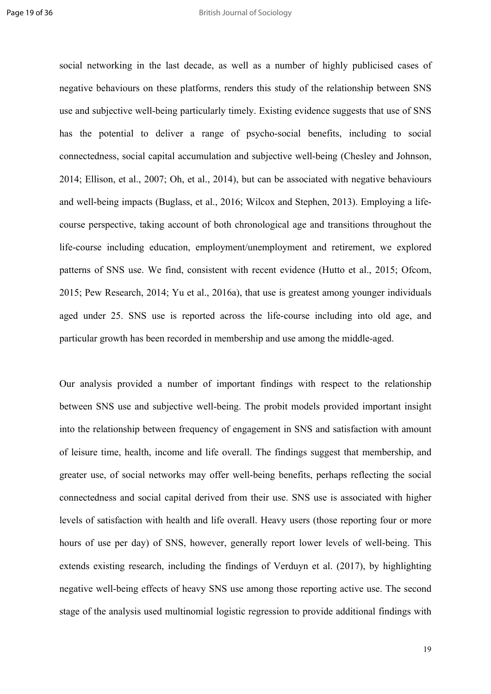social networking in the last decade, as well as a number of highly publicised cases of negative behaviours on these platforms, renders this study of the relationship between SNS use and subjective well-being particularly timely. Existing evidence suggests that use of SNS has the potential to deliver a range of psycho-social benefits, including to social connectedness, social capital accumulation and subjective well-being (Chesley and Johnson, 2014; Ellison, et al., 2007; Oh, et al., 2014), but can be associated with negative behaviours and well-being impacts (Buglass, et al., 2016; Wilcox and Stephen, 2013). Employing a lifecourse perspective, taking account of both chronological age and transitions throughout the life-course including education, employment/unemployment and retirement, we explored patterns of SNS use. We find, consistent with recent evidence (Hutto et al., 2015; Ofcom, 2015; Pew Research, 2014; Yu et al., 2016a), that use is greatest among younger individuals aged under 25. SNS use is reported across the life-course including into old age, and particular growth has been recorded in membership and use among the middle-aged.

Our analysis provided a number of important findings with respect to the relationship between SNS use and subjective well-being. The probit models provided important insight into the relationship between frequency of engagement in SNS and satisfaction with amount of leisure time, health, income and life overall. The findings suggest that membership, and greater use, of social networks may offer well-being benefits, perhaps reflecting the social connectedness and social capital derived from their use. SNS use is associated with higher levels of satisfaction with health and life overall. Heavy users (those reporting four or more hours of use per day) of SNS, however, generally report lower levels of well-being. This extends existing research, including the findings of Verduyn et al. (2017), by highlighting negative well-being effects of heavy SNS use among those reporting active use. The second stage of the analysis used multinomial logistic regression to provide additional findings with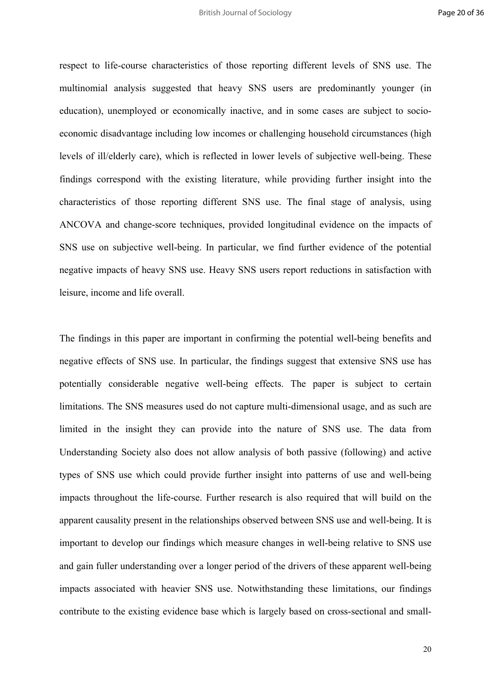respect to life-course characteristics of those reporting different levels of SNS use. The multinomial analysis suggested that heavy SNS users are predominantly younger (in education), unemployed or economically inactive, and in some cases are subject to socioeconomic disadvantage including low incomes or challenging household circumstances (high levels of ill/elderly care), which is reflected in lower levels of subjective well-being. These findings correspond with the existing literature, while providing further insight into the characteristics of those reporting different SNS use. The final stage of analysis, using ANCOVA and change-score techniques, provided longitudinal evidence on the impacts of SNS use on subjective well-being. In particular, we find further evidence of the potential negative impacts of heavy SNS use. Heavy SNS users report reductions in satisfaction with leisure, income and life overall.

The findings in this paper are important in confirming the potential well-being benefits and negative effects of SNS use. In particular, the findings suggest that extensive SNS use has potentially considerable negative well-being effects. The paper is subject to certain limitations. The SNS measures used do not capture multi-dimensional usage, and as such are limited in the insight they can provide into the nature of SNS use. The data from Understanding Society also does not allow analysis of both passive (following) and active types of SNS use which could provide further insight into patterns of use and well-being impacts throughout the life-course. Further research is also required that will build on the apparent causality present in the relationships observed between SNS use and well-being. It is important to develop our findings which measure changes in well-being relative to SNS use and gain fuller understanding over a longer period of the drivers of these apparent well-being impacts associated with heavier SNS use. Notwithstanding these limitations, our findings contribute to the existing evidence base which is largely based on cross-sectional and small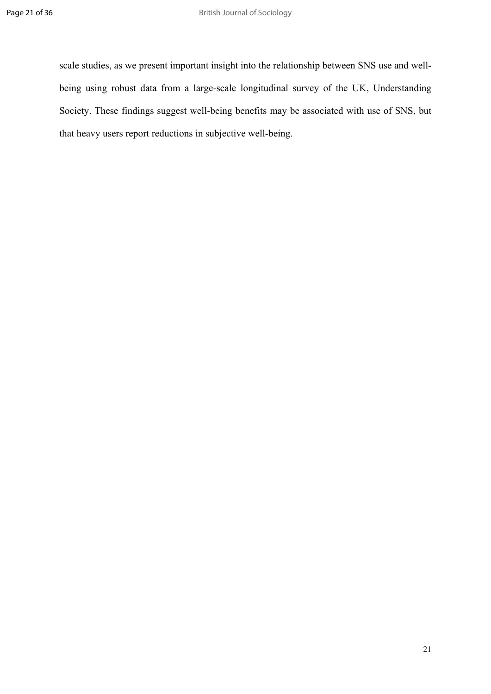scale studies, as we present important insight into the relationship between SNS use and wellbeing using robust data from a large-scale longitudinal survey of the UK, Understanding Society. These findings suggest well-being benefits may be associated with use of SNS, but that heavy users report reductions in subjective well-being.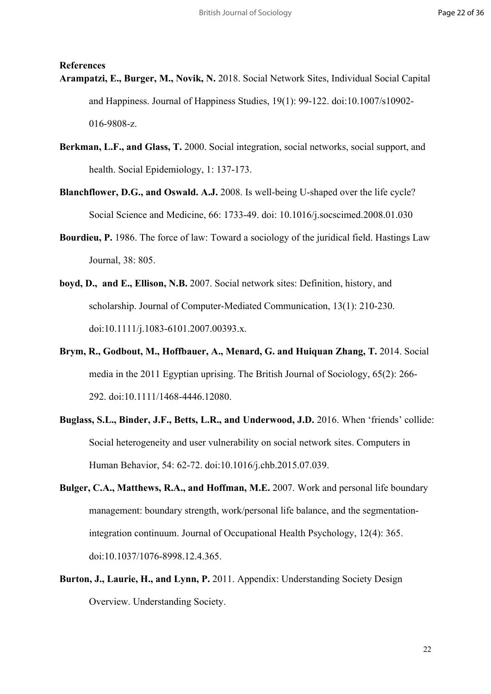#### **References**

- **Arampatzi, E., Burger, M., Novik, N.** 2018. Social Network Sites, Individual Social Capital and Happiness. Journal of Happiness Studies, 19(1): 99-122. doi:10.1007/s10902- 016-9808-z.
- **Berkman, L.F., and Glass, T.** 2000. Social integration, social networks, social support, and health. Social Epidemiology, 1: 137-173.
- **Blanchflower, D.G., and Oswald. A.J.** 2008. Is well-being U-shaped over the life cycle? Social Science and Medicine, 66: 1733-49. doi: 10.1016/j.socscimed.2008.01.030
- **Bourdieu, P.** 1986. The force of law: Toward a sociology of the juridical field. Hastings Law Journal, 38: 805.
- **boyd, D., and E., Ellison, N.B.** 2007. Social network sites: Definition, history, and scholarship. Journal of Computer-Mediated Communication, 13(1): 210-230. doi:10.1111/j.1083-6101.2007.00393.x.
- **Brym, R., Godbout, M., Hoffbauer, A., Menard, G. and Huiquan Zhang, T.** 2014. Social media in the 2011 Egyptian uprising. The British Journal of Sociology, 65(2): 266- 292. doi:10.1111/1468-4446.12080.
- **Buglass, S.L., Binder, J.F., Betts, L.R., and Underwood, J.D.** 2016. When 'friends' collide: Social heterogeneity and user vulnerability on social network sites. Computers in Human Behavior, 54: 62-72. doi:10.1016/j.chb.2015.07.039.
- **Bulger, C.A., Matthews, R.A., and Hoffman, M.E.** 2007. Work and personal life boundary management: boundary strength, work/personal life balance, and the segmentationintegration continuum. Journal of Occupational Health Psychology, 12(4): 365. doi:10.1037/1076-8998.12.4.365.
- **Burton, J., Laurie, H., and Lynn, P.** 2011. Appendix: Understanding Society Design Overview. Understanding Society.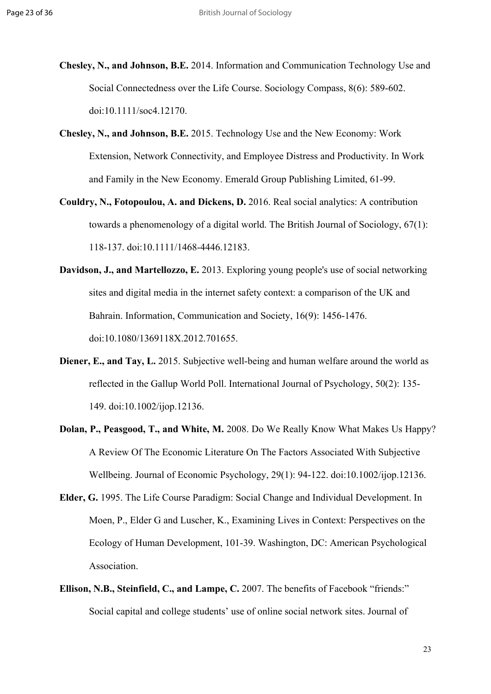- **Chesley, N., and Johnson, B.E.** 2014. Information and Communication Technology Use and Social Connectedness over the Life Course. Sociology Compass, 8(6): 589-602. doi:10.1111/soc4.12170.
- **Chesley, N., and Johnson, B.E.** 2015. Technology Use and the New Economy: Work Extension, Network Connectivity, and Employee Distress and Productivity. In Work and Family in the New Economy. Emerald Group Publishing Limited, 61-99.
- **Couldry, N., Fotopoulou, A. and Dickens, D.** 2016. Real social analytics: A contribution towards a phenomenology of a digital world. The British Journal of Sociology, 67(1): 118-137. doi:10.1111/1468-4446.12183.
- **Davidson, J., and Martellozzo, E.** 2013. Exploring young people's use of social networking sites and digital media in the internet safety context: a comparison of the UK and Bahrain. Information, Communication and Society, 16(9): 1456-1476. doi:10.1080/1369118X.2012.701655.
- **Diener, E., and Tay, L.** 2015. Subjective well-being and human welfare around the world as reflected in the Gallup World Poll. International Journal of Psychology, 50(2): 135- 149. doi:10.1002/ijop.12136.
- **Dolan, P., Peasgood, T., and White, M.** 2008. Do We Really Know What Makes Us Happy? A Review Of The Economic Literature On The Factors Associated With Subjective Wellbeing. Journal of Economic Psychology, 29(1): 94-122. doi:10.1002/ijop.12136.
- **Elder, G.** 1995. The Life Course Paradigm: Social Change and Individual Development. In Moen, P., Elder G and Luscher, K., Examining Lives in Context: Perspectives on the Ecology of Human Development, 101-39. Washington, DC: American Psychological Association.
- **Ellison, N.B., Steinfield, C., and Lampe, C.** 2007. The benefits of Facebook "friends:" Social capital and college students' use of online social network sites. Journal of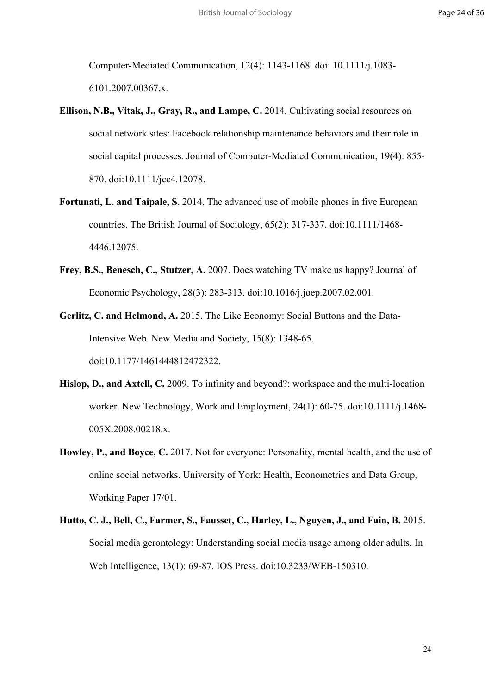Computer-Mediated Communication, 12(4): 1143-1168. doi: 10.1111/j.1083- 6101.2007.00367.x.

- **Ellison, N.B., Vitak, J., Gray, R., and Lampe, C.** 2014. Cultivating social resources on social network sites: Facebook relationship maintenance behaviors and their role in social capital processes. Journal of Computer-Mediated Communication, 19(4): 855- 870. doi:10.1111/jcc4.12078.
- **Fortunati, L. and Taipale, S.** 2014. The advanced use of mobile phones in five European countries. The British Journal of Sociology, 65(2): 317-337. doi:10.1111/1468- 4446.12075.
- **Frey, B.S., Benesch, C., Stutzer, A.** 2007. Does watching TV make us happy? Journal of Economic Psychology, 28(3): 283-313. doi:10.1016/j.joep.2007.02.001.
- **Gerlitz, C. and Helmond, A.** 2015. The Like Economy: Social Buttons and the Data-Intensive Web. New Media and Society, 15(8): 1348-65. doi:10.1177/1461444812472322.
- **Hislop, D., and Axtell, C.** 2009. To infinity and beyond?: workspace and the multi-location worker. New Technology, Work and Employment, 24(1): 60-75. doi:10.1111/j.1468- 005X.2008.00218.x.
- **Howley, P., and Boyce, C.** 2017. Not for everyone: Personality, mental health, and the use of online social networks. University of York: Health, Econometrics and Data Group, Working Paper 17/01.
- **Hutto, C. J., Bell, C., Farmer, S., Fausset, C., Harley, L., Nguyen, J., and Fain, B.** 2015. Social media gerontology: Understanding social media usage among older adults. In Web Intelligence, 13(1): 69-87. IOS Press. doi:10.3233/WEB-150310.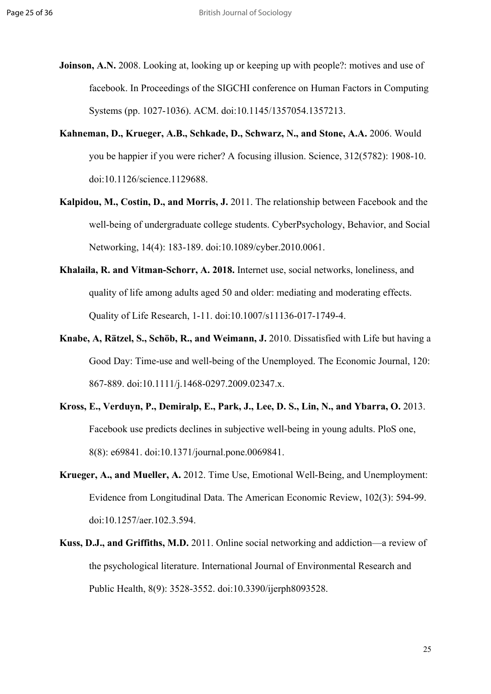- **Joinson, A.N.** 2008. Looking at, looking up or keeping up with people?: motives and use of facebook. In Proceedings of the SIGCHI conference on Human Factors in Computing Systems (pp. 1027-1036). ACM. doi:10.1145/1357054.1357213.
- **Kahneman, D., Krueger, A.B., Schkade, D., Schwarz, N., and Stone, A.A.** 2006. Would you be happier if you were richer? A focusing illusion. Science, 312(5782): 1908-10. doi:10.1126/science.1129688.
- **Kalpidou, M., Costin, D., and Morris, J.** 2011. The relationship between Facebook and the well-being of undergraduate college students. CyberPsychology, Behavior, and Social Networking, 14(4): 183-189. doi:10.1089/cyber.2010.0061.
- **Khalaila, R. and Vitman-Schorr, A. 2018.** Internet use, social networks, loneliness, and quality of life among adults aged 50 and older: mediating and moderating effects. Quality of Life Research, 1-11. doi:10.1007/s11136-017-1749-4.
- **Knabe, A, Rätzel, S., Schöb, R., and Weimann, J.** 2010. Dissatisfied with Life but having a Good Day: Time-use and well-being of the Unemployed. The Economic Journal, 120: 867-889. doi:10.1111/j.1468-0297.2009.02347.x.
- **Kross, E., Verduyn, P., Demiralp, E., Park, J., Lee, D. S., Lin, N., and Ybarra, O.** 2013. Facebook use predicts declines in subjective well-being in young adults. PloS one, 8(8): e69841. doi:10.1371/journal.pone.0069841.
- **Krueger, A., and Mueller, A.** 2012. Time Use, Emotional Well-Being, and Unemployment: Evidence from Longitudinal Data. The American Economic Review, 102(3): 594-99. doi:10.1257/aer.102.3.594.
- **Kuss, D.J., and Griffiths, M.D.** 2011. Online social networking and addiction—a review of the psychological literature. International Journal of Environmental Research and Public Health, 8(9): 3528-3552. doi:10.3390/ijerph8093528.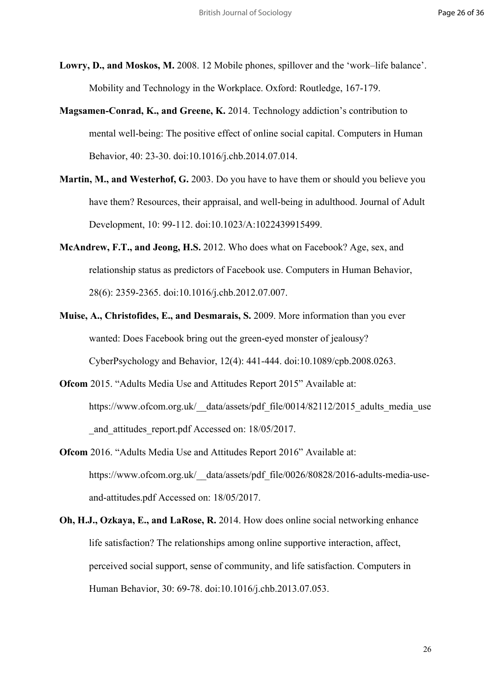**Lowry, D., and Moskos, M.** 2008. 12 Mobile phones, spillover and the 'work–life balance'. Mobility and Technology in the Workplace. Oxford: Routledge, 167-179.

- **Magsamen-Conrad, K., and Greene, K.** 2014. Technology addiction's contribution to mental well-being: The positive effect of online social capital. Computers in Human Behavior, 40: 23-30. doi:10.1016/j.chb.2014.07.014.
- **Martin, M., and Westerhof, G.** 2003. Do you have to have them or should you believe you have them? Resources, their appraisal, and well-being in adulthood. Journal of Adult Development, 10: 99-112. doi:10.1023/A:1022439915499.
- **McAndrew, F.T., and Jeong, H.S.** 2012. Who does what on Facebook? Age, sex, and relationship status as predictors of Facebook use. Computers in Human Behavior, 28(6): 2359-2365. doi:10.1016/j.chb.2012.07.007.
- **Muise, A., Christofides, E., and Desmarais, S.** 2009. More information than you ever wanted: Does Facebook bring out the green-eyed monster of jealousy? CyberPsychology and Behavior, 12(4): 441-444. doi:10.1089/cpb.2008.0263.
- **Ofcom** 2015. "Adults Media Use and Attitudes Report 2015" Available at: https://www.ofcom.org.uk/\_data/assets/pdf\_file/0014/82112/2015\_adults\_media\_use and attitudes report.pdf Accessed on: 18/05/2017.
- **Ofcom** 2016. "Adults Media Use and Attitudes Report 2016" Available at: https://www.ofcom.org.uk/\_data/assets/pdf\_file/0026/80828/2016-adults-media-useand-attitudes.pdf Accessed on: 18/05/2017.
- **Oh, H.J., Ozkaya, E., and LaRose, R.** 2014. How does online social networking enhance life satisfaction? The relationships among online supportive interaction, affect, perceived social support, sense of community, and life satisfaction. Computers in Human Behavior, 30: 69-78. doi:10.1016/j.chb.2013.07.053.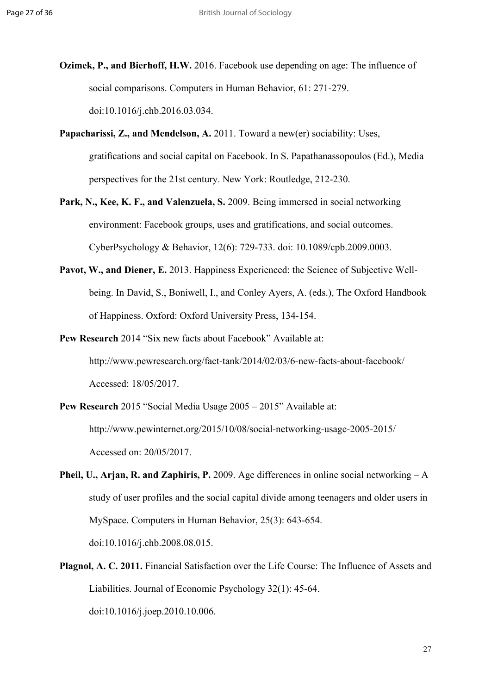- **Ozimek, P., and Bierhoff, H.W.** 2016. Facebook use depending on age: The influence of social comparisons. Computers in Human Behavior, 61: 271-279. doi:10.1016/j.chb.2016.03.034.
- **Papacharissi, Z., and Mendelson, A.** 2011. Toward a new(er) sociability: Uses, gratifications and social capital on Facebook. In S. Papathanassopoulos (Ed.), Media perspectives for the 21st century. New York: Routledge, 212-230.
- Park, N., Kee, K. F., and Valenzuela, S. 2009. Being immersed in social networking environment: Facebook groups, uses and gratifications, and social outcomes. CyberPsychology & Behavior, 12(6): 729-733. doi: 10.1089/cpb.2009.0003.
- Pavot, W., and Diener, E. 2013. Happiness Experienced: the Science of Subjective Wellbeing. In David, S., Boniwell, I., and Conley Ayers, A. (eds.), The Oxford Handbook of Happiness. Oxford: Oxford University Press, 134-154.
- **Pew Research** 2014 "Six new facts about Facebook" Available at: http://www.pewresearch.org/fact-tank/2014/02/03/6-new-facts-about-facebook/ Accessed: 18/05/2017.
- **Pew Research** 2015 "Social Media Usage 2005 2015" Available at: http://www.pewinternet.org/2015/10/08/social-networking-usage-2005-2015/ Accessed on: 20/05/2017.
- **Pheil, U., Arjan, R. and Zaphiris, P.** 2009. Age differences in online social networking A study of user profiles and the social capital divide among teenagers and older users in MySpace. Computers in Human Behavior, 25(3): 643-654. doi:10.1016/j.chb.2008.08.015.
- **Plagnol, A. C. 2011.** Financial Satisfaction over the Life Course: The Influence of Assets and Liabilities. Journal of Economic Psychology 32(1): 45-64. doi:10.1016/j.joep.2010.10.006.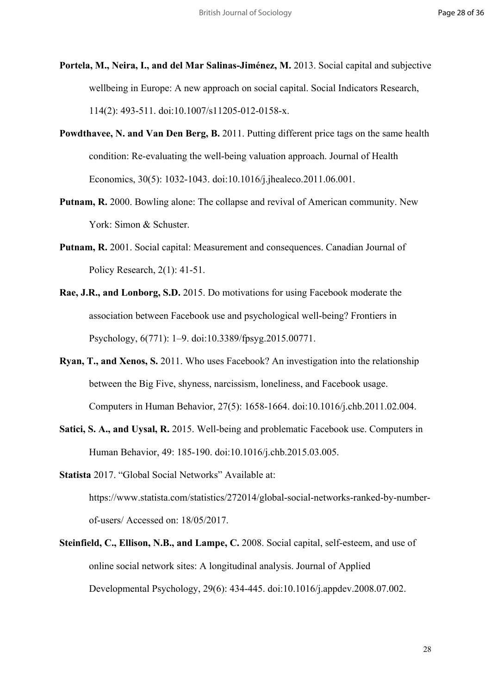- **Portela, M., Neira, I., and del Mar Salinas-Jiménez, M.** 2013. Social capital and subjective wellbeing in Europe: A new approach on social capital. Social Indicators Research, 114(2): 493-511. doi:10.1007/s11205-012-0158-x.
- **Powdthavee, N. and Van Den Berg, B.** 2011. Putting different price tags on the same health condition: Re-evaluating the well-being valuation approach. Journal of Health Economics, 30(5): 1032-1043. doi:10.1016/j.jhealeco.2011.06.001.
- **Putnam, R.** 2000. Bowling alone: The collapse and revival of American community. New York: Simon & Schuster.
- **Putnam, R.** 2001. Social capital: Measurement and consequences. Canadian Journal of Policy Research, 2(1): 41-51.
- **Rae, J.R., and Lonborg, S.D.** 2015. Do motivations for using Facebook moderate the association between Facebook use and psychological well-being? Frontiers in Psychology, 6(771): 1–9. doi:10.3389/fpsyg.2015.00771.
- **Ryan, T., and Xenos, S.** 2011. Who uses Facebook? An investigation into the relationship between the Big Five, shyness, narcissism, loneliness, and Facebook usage. Computers in Human Behavior, 27(5): 1658-1664. doi:10.1016/j.chb.2011.02.004.
- **Satici, S. A., and Uysal, R.** 2015. Well-being and problematic Facebook use. Computers in Human Behavior, 49: 185-190. doi:10.1016/j.chb.2015.03.005.
- **Statista** 2017. "Global Social Networks" Available at: [https://www.statista.com/statistics/272014/global-social-networks-ranked-by-number](https://www.statista.com/statistics/272014/global-social-networks-ranked-by-number-of-users/)[of-users/](https://www.statista.com/statistics/272014/global-social-networks-ranked-by-number-of-users/) Accessed on: 18/05/2017.
- **Steinfield, C., Ellison, N.B., and Lampe, C.** 2008. Social capital, self-esteem, and use of online social network sites: A longitudinal analysis. Journal of Applied Developmental Psychology, 29(6): 434-445. doi:10.1016/j.appdev.2008.07.002.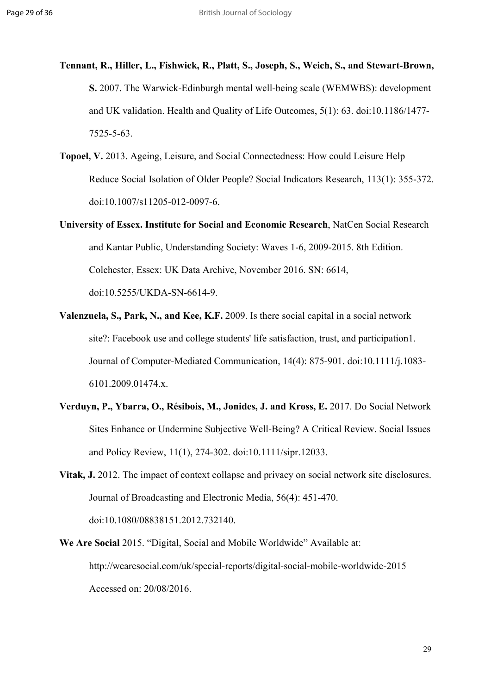- **Tennant, R., Hiller, L., Fishwick, R., Platt, S., Joseph, S., Weich, S., and Stewart-Brown, S.** 2007. The Warwick-Edinburgh mental well-being scale (WEMWBS): development and UK validation. Health and Quality of Life Outcomes, 5(1): 63. doi:10.1186/1477- 7525-5-63.
- **Topoel, V.** 2013. Ageing, Leisure, and Social Connectedness: How could Leisure Help Reduce Social Isolation of Older People? Social Indicators Research, 113(1): 355-372. doi:10.1007/s11205-012-0097-6.
- **University of Essex. Institute for Social and Economic Research**, NatCen Social Research and Kantar Public, Understanding Society: Waves 1-6, 2009-2015. 8th Edition. Colchester, Essex: UK Data Archive, November 2016. SN: 6614, doi:10.5255/UKDA-SN-6614-9.
- **Valenzuela, S., Park, N., and Kee, K.F.** 2009. Is there social capital in a social network site?: Facebook use and college students' life satisfaction, trust, and participation1. Journal of Computer-Mediated Communication, 14(4): 875-901. doi:10.1111/j.1083- 6101.2009.01474.x.
- **Verduyn, P., Ybarra, O., Résibois, M., Jonides, J. and Kross, E.** 2017. Do Social Network Sites Enhance or Undermine Subjective Well-Being? A Critical Review. Social Issues and Policy Review, 11(1), 274-302. doi:10.1111/sipr.12033.
- **Vitak, J.** 2012. The impact of context collapse and privacy on social network site disclosures. Journal of Broadcasting and Electronic Media, 56(4): 451-470. doi:10.1080/08838151.2012.732140.
- **We Are Social** 2015. "Digital, Social and Mobile Worldwide" Available at: http://wearesocial.com/uk/special-reports/digital-social-mobile-worldwide-2015 Accessed on: 20/08/2016.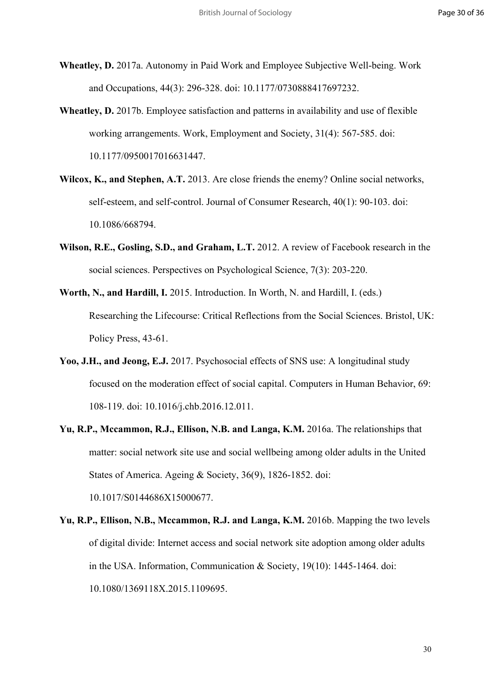- **Wheatley, D.** 2017a. Autonomy in Paid Work and Employee Subjective Well-being. Work and Occupations, 44(3): 296-328. doi: 10.1177/0730888417697232.
- **Wheatley, D.** 2017b. Employee satisfaction and patterns in availability and use of flexible working arrangements. Work, Employment and Society, 31(4): 567-585. doi: 10.1177/0950017016631447.
- **Wilcox, K., and Stephen, A.T.** 2013. Are close friends the enemy? Online social networks, self-esteem, and self-control. Journal of Consumer Research, 40(1): 90-103. doi: 10.1086/668794.
- **Wilson, R.E., Gosling, S.D., and Graham, L.T.** 2012. A review of Facebook research in the social sciences. Perspectives on Psychological Science, 7(3): 203-220.
- **Worth, N., and Hardill, I.** 2015. Introduction. In Worth, N. and Hardill, I. (eds.) Researching the Lifecourse: Critical Reflections from the Social Sciences. Bristol, UK: Policy Press, 43-61.
- **Yoo, J.H., and Jeong, E.J.** 2017. Psychosocial effects of SNS use: A longitudinal study focused on the moderation effect of social capital. Computers in Human Behavior, 69: 108-119. doi: 10.1016/j.chb.2016.12.011.
- **Yu, R.P., Mccammon, R.J., Ellison, N.B. and Langa, K.M.** 2016a. The relationships that matter: social network site use and social wellbeing among older adults in the United States of America. Ageing & Society, 36(9), 1826-1852. doi: 10.1017/S0144686X15000677.

**Yu, R.P., Ellison, N.B., Mccammon, R.J. and Langa, K.M.** 2016b. Mapping the two levels of digital divide: Internet access and social network site adoption among older adults in the USA. Information, Communication & Society, 19(10): 1445-1464. doi: 10.1080/1369118X.2015.1109695.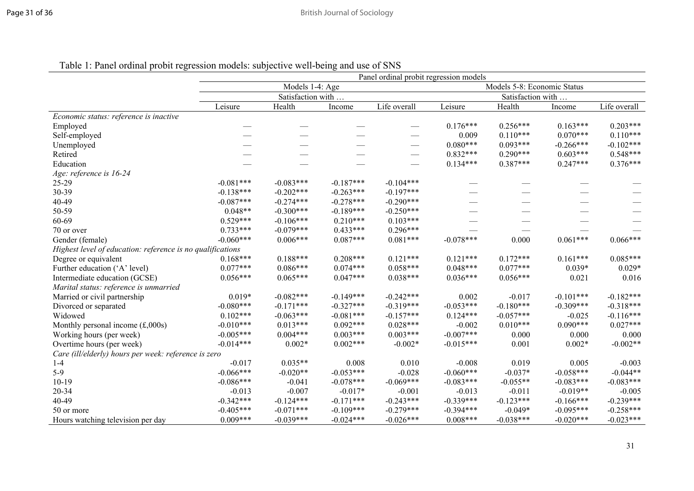|                                                            | Panel ordinal probit regression models |                   |             |                                 |             |                             |             |              |  |  |  |
|------------------------------------------------------------|----------------------------------------|-------------------|-------------|---------------------------------|-------------|-----------------------------|-------------|--------------|--|--|--|
|                                                            |                                        | Models 1-4: Age   |             |                                 |             | Models 5-8: Economic Status |             |              |  |  |  |
|                                                            |                                        | Satisfaction with |             |                                 |             | Satisfaction with           |             |              |  |  |  |
|                                                            | Leisure                                | Health            | Income      | Life overall                    | Leisure     | Health                      | Income      | Life overall |  |  |  |
| Economic status: reference is inactive                     |                                        |                   |             |                                 |             |                             |             |              |  |  |  |
| Employed                                                   |                                        |                   |             | $\overline{\phantom{0}}$        | $0.176***$  | $0.256***$                  | $0.163***$  | $0.203***$   |  |  |  |
| Self-employed                                              |                                        |                   |             |                                 | 0.009       | $0.110***$                  | $0.070***$  | $0.110***$   |  |  |  |
| Unemployed                                                 |                                        |                   |             |                                 | $0.080***$  | $0.093***$                  | $-0.266***$ | $-0.102***$  |  |  |  |
| Retired                                                    |                                        |                   |             |                                 | $0.832***$  | $0.290***$                  | $0.603***$  | $0.548***$   |  |  |  |
| Education                                                  |                                        |                   |             | $\hspace{0.1mm}-\hspace{0.1mm}$ | $0.134***$  | $0.387***$                  | $0.247***$  | $0.376***$   |  |  |  |
| Age: reference is 16-24                                    |                                        |                   |             |                                 |             |                             |             |              |  |  |  |
| $25 - 29$                                                  | $-0.081***$                            | $-0.083***$       | $-0.187***$ | $-0.104***$                     |             |                             |             |              |  |  |  |
| 30-39                                                      | $-0.138***$                            | $-0.202$ ***      | $-0.263***$ | $-0.197***$                     |             |                             |             |              |  |  |  |
| 40-49                                                      | $-0.087***$                            | $-0.274***$       | $-0.278***$ | $-0.290***$                     |             |                             |             |              |  |  |  |
| 50-59                                                      | $0.048**$                              | $-0.300***$       | $-0.189***$ | $-0.250***$                     |             |                             |             |              |  |  |  |
| 60-69                                                      | $0.529***$                             | $-0.106***$       | $0.210***$  | $0.103***$                      |             |                             |             |              |  |  |  |
| 70 or over                                                 | $0.733***$                             | $-0.079***$       | $0.433***$  | $0.296***$                      |             |                             |             |              |  |  |  |
| Gender (female)                                            | $-0.060***$                            | $0.006***$        | $0.087***$  | $0.081***$                      | $-0.078***$ | 0.000                       | $0.061***$  | $0.066***$   |  |  |  |
| Highest level of education: reference is no qualifications |                                        |                   |             |                                 |             |                             |             |              |  |  |  |
| Degree or equivalent                                       | $0.168***$                             | $0.188***$        | $0.208***$  | $0.121***$                      | $0.121***$  | $0.172***$                  | $0.161***$  | $0.085***$   |  |  |  |
| Further education ('A' level)                              | $0.077***$                             | $0.086***$        | $0.074***$  | $0.058***$                      | $0.048***$  | $0.077***$                  | $0.039*$    | $0.029*$     |  |  |  |
| Intermediate education (GCSE)                              | $0.056***$                             | $0.065***$        | $0.047***$  | $0.038***$                      | $0.036***$  | $0.056***$                  | 0.021       | 0.016        |  |  |  |
| Marital status: reference is unmarried                     |                                        |                   |             |                                 |             |                             |             |              |  |  |  |
| Married or civil partnership                               | $0.019*$                               | $-0.082***$       | $-0.149***$ | $-0.242***$                     | 0.002       | $-0.017$                    | $-0.101***$ | $-0.182***$  |  |  |  |
| Divorced or separated                                      | $-0.080***$                            | $-0.171***$       | $-0.327***$ | $-0.319***$                     | $-0.053***$ | $-0.180***$                 | $-0.309***$ | $-0.318***$  |  |  |  |
| Widowed                                                    | $0.102***$                             | $-0.063***$       | $-0.081***$ | $-0.157***$                     | $0.124***$  | $-0.057***$                 | $-0.025$    | $-0.116***$  |  |  |  |
| Monthly personal income $(\text{\pounds},000s)$            | $-0.010***$                            | $0.013***$        | $0.092***$  | $0.028***$                      | $-0.002$    | $0.010***$                  | $0.090***$  | $0.027***$   |  |  |  |
| Working hours (per week)                                   | $-0.005***$                            | $0.004***$        | $0.003***$  | $0.003***$                      | $-0.007***$ | 0.000                       | 0.000       | 0.000        |  |  |  |
| Overtime hours (per week)                                  | $-0.014***$                            | $0.002*$          | $0.002***$  | $-0.002*$                       | $-0.015***$ | 0.001                       | $0.002*$    | $-0.002**$   |  |  |  |
| Care (ill/elderly) hours per week: reference is zero       |                                        |                   |             |                                 |             |                             |             |              |  |  |  |
| $1 - 4$                                                    | $-0.017$                               | $0.035**$         | 0.008       | 0.010                           | $-0.008$    | 0.019                       | 0.005       | $-0.003$     |  |  |  |
| $5-9$                                                      | $-0.066***$                            | $-0.020**$        | $-0.053***$ | $-0.028$                        | $-0.060***$ | $-0.037*$                   | $-0.058***$ | $-0.044**$   |  |  |  |
| $10-19$                                                    | $-0.086***$                            | $-0.041$          | $-0.078***$ | $-0.069***$                     | $-0.083***$ | $-0.055**$                  | $-0.083***$ | $-0.083***$  |  |  |  |
| 20-34                                                      | $-0.013$                               | $-0.007$          | $-0.017*$   | $-0.001$                        | $-0.013$    | $-0.011$                    | $-0.019**$  | $-0.005$     |  |  |  |
| 40-49                                                      | $-0.342***$                            | $-0.124***$       | $-0.171***$ | $-0.243***$                     | $-0.339***$ | $-0.123***$                 | $-0.166***$ | $-0.239***$  |  |  |  |
| 50 or more                                                 | $-0.405***$                            | $-0.071***$       | $-0.109***$ | $-0.279***$                     | $-0.394***$ | $-0.049*$                   | $-0.095***$ | $-0.258***$  |  |  |  |
| Hours watching television per day                          | $0.009***$                             | $-0.039***$       | $-0.024***$ | $-0.026***$                     | $0.008***$  | $-0.038***$                 | $-0.020***$ | $-0.023***$  |  |  |  |

Table 1: Panel ordinal probit regression models: subjective well-being and use of SNS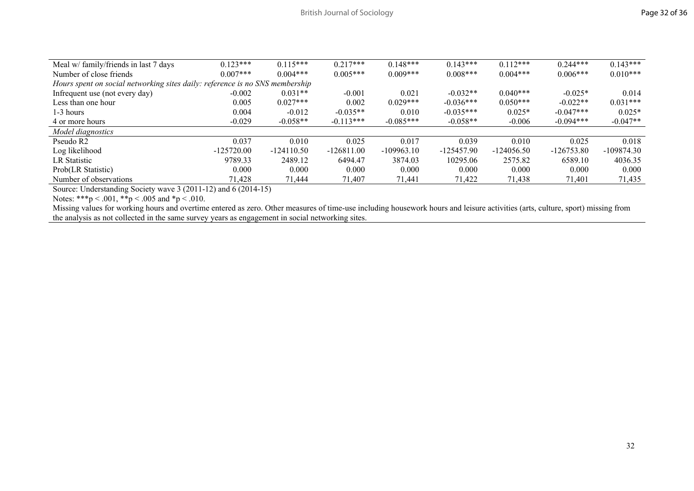| Meal w/ family/friends in last 7 days                                        | $0.123***$   | $0.115***$   | $0.217***$   | $0.148***$   | $0.143***$   | $0.112***$   | $0.244***$   | $0.143***$   |  |
|------------------------------------------------------------------------------|--------------|--------------|--------------|--------------|--------------|--------------|--------------|--------------|--|
| Number of close friends                                                      | $0.007$ ***  | $0.004***$   | $0.005***$   | $0.009***$   | $0.008***$   | $0.004***$   | $0.006***$   | $0.010***$   |  |
| Hours spent on social networking sites daily: reference is no SNS membership |              |              |              |              |              |              |              |              |  |
| Infrequent use (not every day)                                               | $-0.002$     | $0.031**$    | $-0.001$     | 0.021        | $-0.032**$   | $0.040***$   | $-0.025*$    | 0.014        |  |
| Less than one hour                                                           | 0.005        | $0.027***$   | 0.002        | $0.029***$   | $-0.036***$  | $0.050***$   | $-0.022**$   | $0.031***$   |  |
| 1-3 hours                                                                    | 0.004        | $-0.012$     | $-0.035**$   | 0.010        | $-0.035***$  | $0.025*$     | $-0.047***$  | $0.025*$     |  |
| 4 or more hours                                                              | $-0.029$     | $-0.058**$   | $-0.113***$  | $-0.085***$  | $-0.058**$   | $-0.006$     | $-0.094***$  | $-0.047**$   |  |
| Model diagnostics                                                            |              |              |              |              |              |              |              |              |  |
| Pseudo R <sub>2</sub>                                                        | 0.037        | 0.010        | 0.025        | 0.017        | 0.039        | 0.010        | 0.025        | 0.018        |  |
| Log likelihood                                                               | $-125720.00$ | $-124110.50$ | $-126811.00$ | $-109963.10$ | $-125457.90$ | $-124056.50$ | $-126753.80$ | $-109874.30$ |  |
| LR Statistic                                                                 | 9789.33      | 2489.12      | 6494.47      | 3874.03      | 10295.06     | 2575.82      | 6589.10      | 4036.35      |  |
| Prob(LR Statistic)                                                           | 0.000        | 0.000        | 0.000        | 0.000        | 0.000        | 0.000        | 0.000        | 0.000        |  |
| Number of observations                                                       | 71,428       | 71,444       | 71,407       | 71,441       | 71,422       | 71,438       | 71,401       | 71,435       |  |
|                                                                              |              |              |              |              |              |              |              |              |  |

Source: Understanding Society wave 3 (2011-12) and 6 (2014-15)

Notes: \*\*\*p < .001, \*\*p < .005 and \*p < .010.

Missing values for working hours and overtime entered as zero. Other measures of time-use including housework hours and leisure activities (arts, culture, sport) missing from the analysis as not collected in the same survey years as engagement in social networking sites.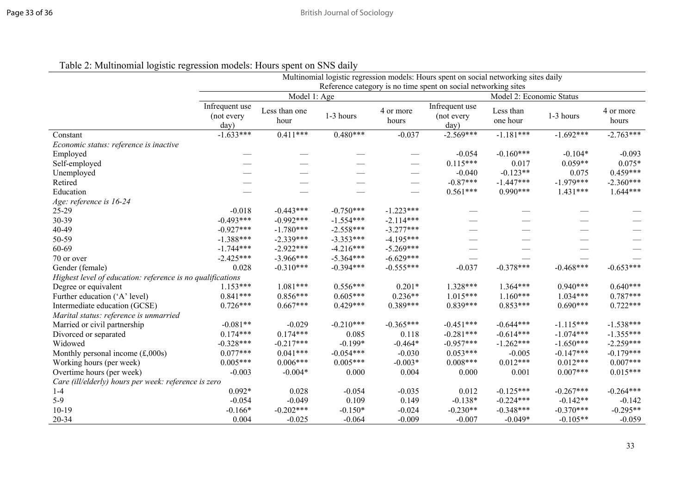| Table 2: Multinomial logistic regression models: Hours spent on SNS daily |  |  |
|---------------------------------------------------------------------------|--|--|
|                                                                           |  |  |

|                                                            | Multinomial logistic regression models: Hours spent on social networking sites daily |                       |             |                    |                                                                |                          |             |                    |  |  |  |
|------------------------------------------------------------|--------------------------------------------------------------------------------------|-----------------------|-------------|--------------------|----------------------------------------------------------------|--------------------------|-------------|--------------------|--|--|--|
|                                                            |                                                                                      |                       |             |                    | Reference category is no time spent on social networking sites |                          |             |                    |  |  |  |
|                                                            |                                                                                      | Model 1: Age          |             |                    |                                                                | Model 2: Economic Status |             |                    |  |  |  |
|                                                            | Infrequent use<br>(not every<br>day)                                                 | Less than one<br>hour | 1-3 hours   | 4 or more<br>hours | Infrequent use<br>(not every<br>day)                           | Less than<br>one hour    | 1-3 hours   | 4 or more<br>hours |  |  |  |
| Constant                                                   | $-1.633***$                                                                          | $0.411***$            | $0.480***$  | $-0.037$           | $-2.569***$                                                    | $-1.181***$              | $-1.692***$ | $-2.763***$        |  |  |  |
| Economic status: reference is inactive                     |                                                                                      |                       |             |                    |                                                                |                          |             |                    |  |  |  |
| Employed                                                   |                                                                                      |                       |             |                    | $-0.054$                                                       | $-0.160***$              | $-0.104*$   | $-0.093$           |  |  |  |
| Self-employed                                              |                                                                                      |                       |             |                    | $0.115***$                                                     | 0.017                    | $0.059**$   | $0.075*$           |  |  |  |
| Unemployed                                                 |                                                                                      |                       |             |                    | $-0.040$                                                       | $-0.123**$               | 0.075       | $0.459***$         |  |  |  |
| Retired                                                    |                                                                                      |                       |             |                    | $-0.87***$                                                     | $-1.447***$              | $-1.979***$ | $-2.360***$        |  |  |  |
| Education                                                  |                                                                                      |                       |             |                    | $0.561***$                                                     | $0.990***$               | $1.431***$  | $1.644***$         |  |  |  |
| Age: reference is 16-24                                    |                                                                                      |                       |             |                    |                                                                |                          |             |                    |  |  |  |
| 25-29                                                      | $-0.018$                                                                             | $-0.443***$           | $-0.750***$ | $-1.223***$        |                                                                |                          |             |                    |  |  |  |
| 30-39                                                      | $-0.493***$                                                                          | $-0.992***$           | $-1.554***$ | $-2.114***$        |                                                                |                          |             |                    |  |  |  |
| 40-49                                                      | $-0.927***$                                                                          | $-1.780***$           | $-2.558***$ | $-3.277***$        |                                                                |                          |             |                    |  |  |  |
| 50-59                                                      | $-1.388***$                                                                          | $-2.339***$           | $-3.353***$ | $-4.195***$        |                                                                |                          |             |                    |  |  |  |
| 60-69                                                      | $-1.744***$                                                                          | $-2.922***$           | $-4.216***$ | $-5.269***$        |                                                                |                          |             |                    |  |  |  |
| 70 or over                                                 | $-2.425***$                                                                          | $-3.966***$           | $-5.364***$ | $-6.629***$        |                                                                |                          |             |                    |  |  |  |
| Gender (female)                                            | 0.028                                                                                | $-0.310***$           | $-0.394***$ | $-0.555***$        | $-0.037$                                                       | $-0.378***$              | $-0.468***$ | $-0.653***$        |  |  |  |
| Highest level of education: reference is no qualifications |                                                                                      |                       |             |                    |                                                                |                          |             |                    |  |  |  |
| Degree or equivalent                                       | $1.153***$                                                                           | $1.081***$            | $0.556***$  | $0.201*$           | $1.328***$                                                     | $1.364***$               | $0.940***$  | $0.640***$         |  |  |  |
| Further education ('A' level)                              | $0.841***$                                                                           | $0.856***$            | $0.605***$  | $0.236**$          | $1.015***$                                                     | $1.160***$               | $1.034***$  | $0.787***$         |  |  |  |
| Intermediate education (GCSE)                              | $0.726***$                                                                           | $0.667***$            | $0.429***$  | $0.389***$         | $0.839***$                                                     | $0.853***$               | $0.690***$  | $0.722***$         |  |  |  |
| Marital status: reference is unmarried                     |                                                                                      |                       |             |                    |                                                                |                          |             |                    |  |  |  |
| Married or civil partnership                               | $-0.081**$                                                                           | $-0.029$              | $-0.210***$ | $-0.365***$        | $-0.451***$                                                    | $-0.644***$              | $-1.115***$ | $-1.538***$        |  |  |  |
| Divorced or separated                                      | $0.174***$                                                                           | $0.174***$            | 0.085       | 0.118              | $-0.281***$                                                    | $-0.614***$              | $-1.074***$ | $-1.355***$        |  |  |  |
| Widowed                                                    | $-0.328***$                                                                          | $-0.217***$           | $-0.199*$   | $-0.464*$          | $-0.957***$                                                    | $-1.262***$              | $-1.650***$ | $-2.259***$        |  |  |  |
| Monthly personal income $(\text{\pounds},000s)$            | $0.077***$                                                                           | $0.041***$            | $-0.054***$ | $-0.030$           | $0.053***$                                                     | $-0.005$                 | $-0.147***$ | $-0.179***$        |  |  |  |
| Working hours (per week)                                   | $0.005***$                                                                           | $0.006***$            | $0.005***$  | $-0.003*$          | $0.008***$                                                     | $0.012***$               | $0.012***$  | $0.007***$         |  |  |  |
| Overtime hours (per week)                                  | $-0.003$                                                                             | $-0.004*$             | 0.000       | 0.004              | 0.000                                                          | 0.001                    | $0.007***$  | $0.015***$         |  |  |  |
| Care (ill/elderly) hours per week: reference is zero       |                                                                                      |                       |             |                    |                                                                |                          |             |                    |  |  |  |
| $1 - 4$                                                    | $0.092*$                                                                             | 0.028                 | $-0.054$    | $-0.035$           | 0.012                                                          | $-0.125***$              | $-0.267***$ | $-0.264***$        |  |  |  |
| $5-9$                                                      | $-0.054$                                                                             | $-0.049$              | 0.109       | 0.149              | $-0.138*$                                                      | $-0.224***$              | $-0.142**$  | $-0.142$           |  |  |  |
| $10-19$                                                    | $-0.166*$                                                                            | $-0.202***$           | $-0.150*$   | $-0.024$           | $-0.230**$                                                     | $-0.348***$              | $-0.370***$ | $-0.295**$         |  |  |  |
| 20-34                                                      | 0.004                                                                                | $-0.025$              | $-0.064$    | $-0.009$           | $-0.007$                                                       | $-0.049*$                | $-0.105**$  | $-0.059$           |  |  |  |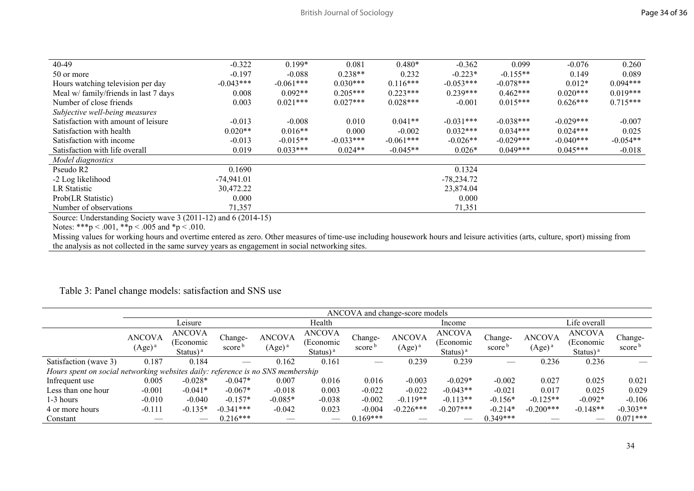|              | $0.199*$    | 0.081       | $0.480*$    |             | 0.099       | $-0.076$    | 0.260      |
|--------------|-------------|-------------|-------------|-------------|-------------|-------------|------------|
| $-0.197$     | $-0.088$    | $0.238**$   | 0.232       | $-0.223*$   | $-0.155**$  | 0.149       | 0.089      |
| $-0.043***$  | $-0.061***$ | $0.030***$  | $0.116***$  | $-0.053***$ | $-0.078***$ | $0.012*$    | $0.094***$ |
| 0.008        | $0.092**$   | $0.205***$  | $0.223***$  | $0.239***$  | $0.462***$  | $0.020***$  | $0.019***$ |
| 0.003        | $0.021***$  | $0.027***$  | $0.028***$  | $-0.001$    | $0.015***$  | $0.626***$  | $0.715***$ |
|              |             |             |             |             |             |             |            |
| $-0.013$     | $-0.008$    | 0.010       | $0.041**$   | $-0.031***$ | $-0.038***$ | $-0.029***$ | $-0.007$   |
| $0.020**$    | $0.016**$   | 0.000       | $-0.002$    | $0.032***$  | $0.034***$  | $0.024***$  | 0.025      |
| $-0.013$     | $-0.015**$  | $-0.033***$ | $-0.061***$ | $-0.026**$  | $-0.029***$ | $-0.040***$ | $-0.054**$ |
| 0.019        | $0.033***$  | $0.024**$   | $-0.045**$  | $0.026*$    | $0.049***$  | $0.045***$  | $-0.018$   |
|              |             |             |             |             |             |             |            |
| 0.1690       |             |             |             | 0.1324      |             |             |            |
| $-74,941.01$ |             |             |             | -78,234.72  |             |             |            |
| 30,472.22    |             |             |             | 23,874.04   |             |             |            |
| 0.000        |             |             |             | 0.000       |             |             |            |
| 71,357       |             |             |             | 71,351      |             |             |            |
|              | $-0.322$    |             |             |             | $-0.362$    |             |            |

Source: Understanding Society wave 3 (2011-12) and 6 (2014-15)

Notes: \*\*\*p < .001, \*\*p < .005 and \*p < .010.

Missing values for working hours and overtime entered as zero. Other measures of time-use including housework hours and leisure activities (arts, culture, sport) missing from the analysis as not collected in the same survey years as engagement in social networking sites.

### Table 3: Panel change models: satisfaction and SNS use

|                                                                                 | ANCOVA and change-score models |                                                       |                               |                                     |                                                                 |                               |                            |                                                                 |                               |                            |                                                                 |                               |
|---------------------------------------------------------------------------------|--------------------------------|-------------------------------------------------------|-------------------------------|-------------------------------------|-----------------------------------------------------------------|-------------------------------|----------------------------|-----------------------------------------------------------------|-------------------------------|----------------------------|-----------------------------------------------------------------|-------------------------------|
|                                                                                 |                                | Leisure                                               |                               |                                     | Health                                                          |                               | Income                     |                                                                 |                               | Life overall               |                                                                 |                               |
|                                                                                 | <b>ANCOVA</b><br>$(Age)^a$     | <b>ANCOVA</b><br>(Economic<br>Status $)$ <sup>a</sup> | Change-<br>score <sup>b</sup> | <b>ANCOVA</b><br>(Age) <sup>a</sup> | <b>ANCOVA</b><br>(Economic<br>Status) <sup><math>a</math></sup> | Change-<br>score <sup>b</sup> | <b>ANCOVA</b><br>$(Age)^a$ | <b>ANCOVA</b><br>(Economic<br>Status) <sup><math>a</math></sup> | Change-<br>score <sup>t</sup> | <b>ANCOVA</b><br>$(Age)^a$ | <b>ANCOVA</b><br>(Economic<br>Status) <sup><math>a</math></sup> | Change-<br>score <sup>b</sup> |
| Satisfaction (wave 3)                                                           | 0.187                          | 0.184                                                 |                               | 0.162                               | 0.161                                                           |                               | 0.239                      | 0.239                                                           |                               | 0.236                      | 0.236                                                           |                               |
| Hours spent on social networking websites daily: reference is no SNS membership |                                |                                                       |                               |                                     |                                                                 |                               |                            |                                                                 |                               |                            |                                                                 |                               |
| Infrequent use                                                                  | 0.005                          | $-0.028*$                                             | $-0.047*$                     | 0.007                               | 0.016                                                           | 0.016                         | $-0.003$                   | $-0.029*$                                                       | $-0.002$                      | 0.027                      | 0.025                                                           | 0.021                         |
| Less than one hour                                                              | $-0.001$                       | $-0.041*$                                             | $-0.067*$                     | $-0.018$                            | 0.003                                                           | $-0.022$                      | $-0.022$                   | $-0.043**$                                                      | $-0.021$                      | 0.017                      | 0.025                                                           | 0.029                         |
| 1-3 hours                                                                       | $-0.010$                       | $-0.040$                                              | $-0.157*$                     | $-0.085*$                           | $-0.038$                                                        | $-0.002$                      | $-0.119**$                 | $-0.113**$                                                      | $-0.156*$                     | $-0.125**$                 | $-0.092*$                                                       | $-0.106$                      |
| 4 or more hours                                                                 | $-0.111$                       | $-0.135*$                                             | $-0.341***$                   | $-0.042$                            | 0.023                                                           | $-0.004$                      | $-0.226***$                | $-0.207***$                                                     | $-0.214*$                     | $-0.200***$                | $-0.148**$                                                      | $-0.303**$                    |
| Constant                                                                        |                                |                                                       | $0.216***$                    |                                     |                                                                 | $0.169***$                    |                            |                                                                 | $0.349***$                    |                            |                                                                 | $0.071***$                    |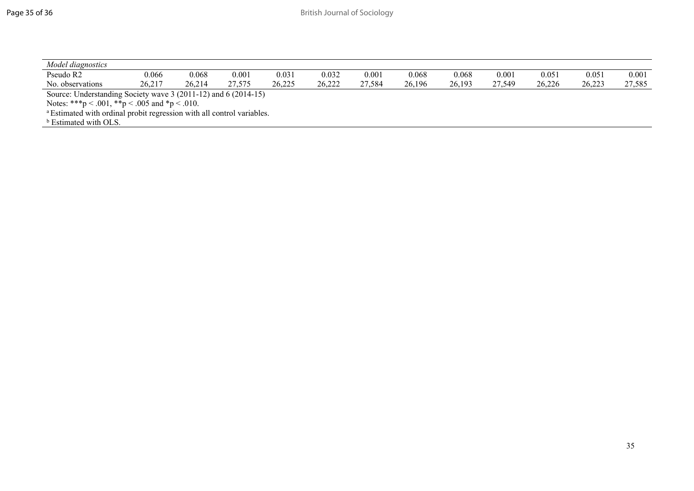| Model diagnostics                                                                 |        |        |        |        |        |        |        |        |        |        |        |        |
|-----------------------------------------------------------------------------------|--------|--------|--------|--------|--------|--------|--------|--------|--------|--------|--------|--------|
| Pseudo R2                                                                         | 0.066  | 0.068  | 0.001  | 0.031  | 0.032  | 0.001  | 0.068  | 0.068  | 0.001  | 0.051  | 0.051  | 0.001  |
| No. observations                                                                  | 26.217 | 26.214 | 27.575 | 26.225 | 26.222 | 27.584 | 26.196 | 26,193 | 27.549 | 26,226 | 26.223 | 27,585 |
| Source: Understanding Society wave 3 (2011-12) and 6 (2014-15)                    |        |        |        |        |        |        |        |        |        |        |        |        |
| Notes: ***p < .001, **p < .005 and *p < .010.                                     |        |        |        |        |        |        |        |        |        |        |        |        |
| <sup>a</sup> Estimated with ordinal probit regression with all control variables. |        |        |        |        |        |        |        |        |        |        |        |        |
| <sup>b</sup> Estimated with OLS.                                                  |        |        |        |        |        |        |        |        |        |        |        |        |